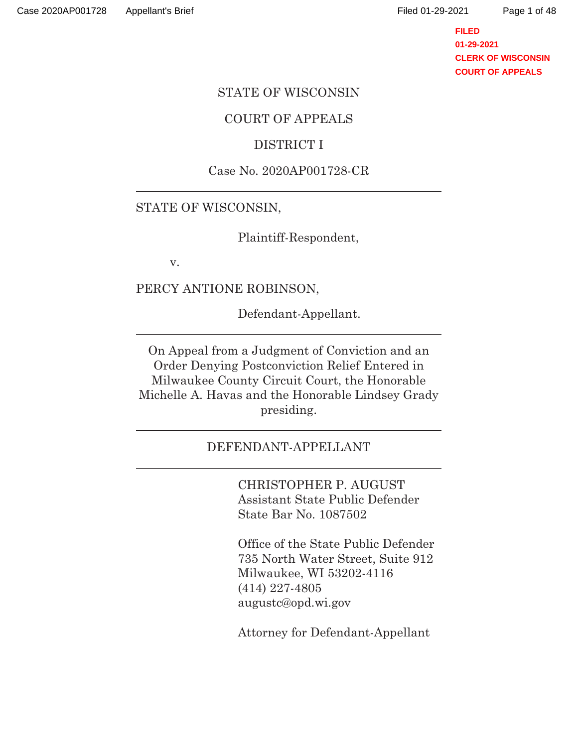**FILED 01-29-2021 CLERK OF WISCONSIN COURT OF APPEALS**

### STATE OF WISCONSIN

## COURT OF APPEALS

## DISTRICT I

## Case No. 2020AP001728-CR

## STATE OF WISCONSIN,

Plaintiff-Respondent,

v.

 $\overline{a}$ 

 $\overline{a}$ 

 $\overline{a}$ 

 $\overline{a}$ 

PERCY ANTIONE ROBINSON,

Defendant-Appellant.

On Appeal from a Judgment of Conviction and an Order Denying Postconviction Relief Entered in Milwaukee County Circuit Court, the Honorable Michelle A. Havas and the Honorable Lindsey Grady presiding.

### DEFENDANT-APPELLANT

CHRISTOPHER P. AUGUST Assistant State Public Defender State Bar No. 1087502

Office of the State Public Defender 735 North Water Street, Suite 912 Milwaukee, WI 53202-4116 (414) 227-4805 augustc@opd.wi.gov

Attorney for Defendant-Appellant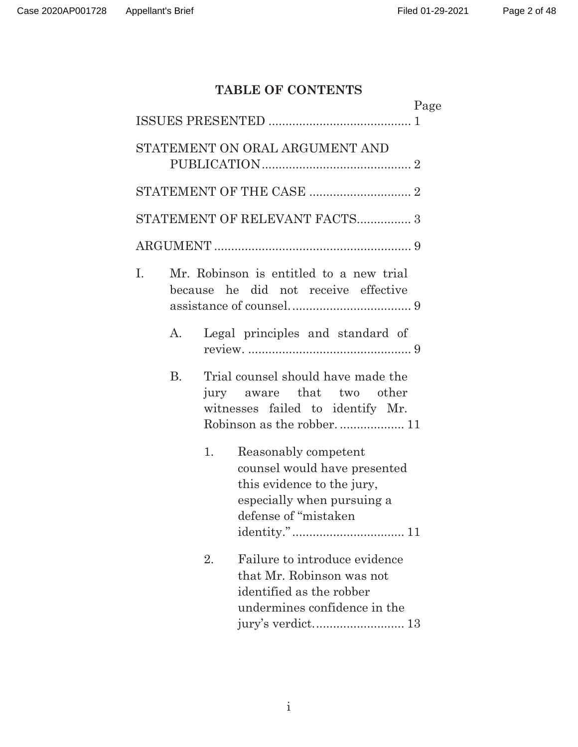# **TABLE OF CONTENTS**

|           | Page                                                                                                                                            |  |
|-----------|-------------------------------------------------------------------------------------------------------------------------------------------------|--|
|           |                                                                                                                                                 |  |
|           | STATEMENT ON ORAL ARGUMENT AND                                                                                                                  |  |
|           |                                                                                                                                                 |  |
|           | STATEMENT OF RELEVANT FACTS 3                                                                                                                   |  |
|           |                                                                                                                                                 |  |
| I.        | Mr. Robinson is entitled to a new trial<br>because he did not receive effective                                                                 |  |
| A.        | Legal principles and standard of                                                                                                                |  |
| <b>B.</b> | Trial counsel should have made the<br>jury aware that two other<br>witnesses failed to identify Mr.                                             |  |
|           | Reasonably competent<br>1.<br>counsel would have presented<br>this evidence to the jury,<br>especially when pursuing a<br>defense of "mistaken" |  |
|           | Failure to introduce evidence<br>2.<br>that Mr. Robinson was not<br>identified as the robber<br>undermines confidence in the                    |  |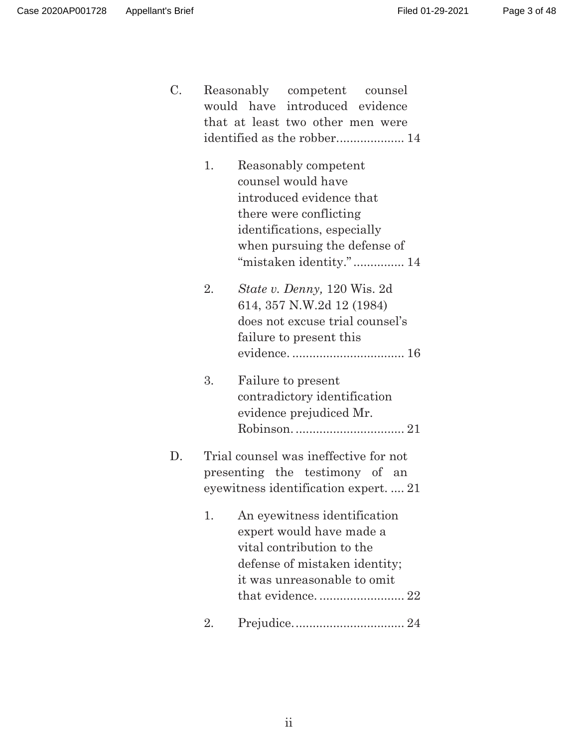C. Reasonably competent counsel would have introduced evidence that at least two other men were identified as the robber.................... 14

| 1. | Reasonably competent         |
|----|------------------------------|
|    | counsel would have           |
|    | introduced evidence that     |
|    | there were conflicting       |
|    | identifications, especially  |
|    | when pursuing the defense of |
|    | "mistaken identity." 14      |

- 2. *State v. Denny,* 120 Wis. 2d 614, 357 N.W.2d 12 (1984) does not excuse trial counsel's failure to present this evidence. ................................. 16
- 3. Failure to present contradictory identification evidence prejudiced Mr. Robinson. ................................ 21
- D. Trial counsel was ineffective for not presenting the testimony of an eyewitness identification expert. .... 21
	- 1. An eyewitness identification expert would have made a vital contribution to the defense of mistaken identity; it was unreasonable to omit that evidence. ......................... 22
	- 2. Prejudice. ................................ 24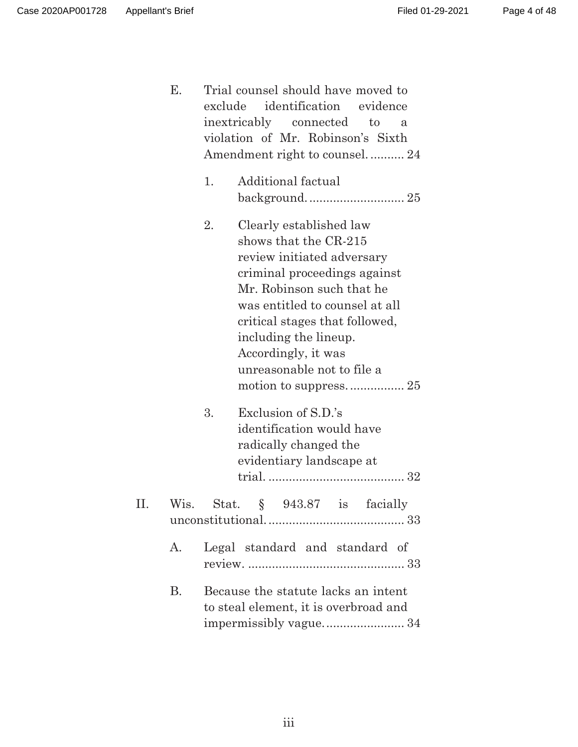|    | Е.        | Trial counsel should have moved to<br>exclude identification evidence<br>inextricably connected<br>to<br>$\mathbf{a}$<br>violation of Mr. Robinson's Sixth<br>Amendment right to counsel 24                                                                                                         |
|----|-----------|-----------------------------------------------------------------------------------------------------------------------------------------------------------------------------------------------------------------------------------------------------------------------------------------------------|
|    |           | Additional factual<br>1.                                                                                                                                                                                                                                                                            |
|    |           | 2.<br>Clearly established law<br>shows that the CR-215<br>review initiated adversary<br>criminal proceedings against<br>Mr. Robinson such that he<br>was entitled to counsel at all<br>critical stages that followed,<br>including the lineup.<br>Accordingly, it was<br>unreasonable not to file a |
|    |           | Exclusion of S.D.'s<br>3.<br>identification would have<br>radically changed the<br>evidentiary landscape at                                                                                                                                                                                         |
| П. |           | Wis. Stat. $\S$ 943.87 is facially                                                                                                                                                                                                                                                                  |
|    | A.        | Legal standard and standard of                                                                                                                                                                                                                                                                      |
|    | <b>B.</b> | Because the statute lacks an intent<br>to steal element, it is overbroad and<br>impermissibly vague 34                                                                                                                                                                                              |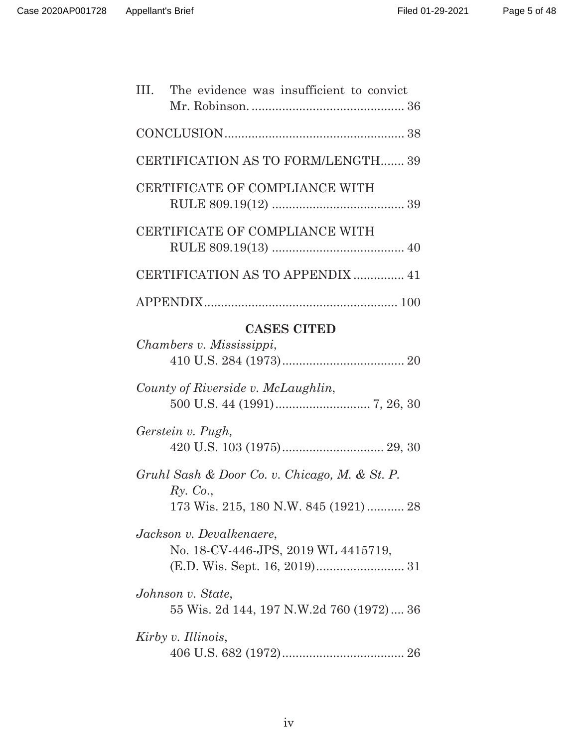| III.<br>The evidence was insufficient to convict                                                   |  |
|----------------------------------------------------------------------------------------------------|--|
|                                                                                                    |  |
| CERTIFICATION AS TO FORM/LENGTH 39                                                                 |  |
| CERTIFICATE OF COMPLIANCE WITH                                                                     |  |
| CERTIFICATE OF COMPLIANCE WITH                                                                     |  |
| CERTIFICATION AS TO APPENDIX  41                                                                   |  |
|                                                                                                    |  |
| <b>CASES CITED</b><br>Chambers v. Mississippi,                                                     |  |
| County of Riverside v. McLaughlin,                                                                 |  |
| Gerstein v. Pugh,                                                                                  |  |
| Gruhl Sash & Door Co. v. Chicago, M. & St. P.<br>Ry. Co.,<br>173 Wis. 215, 180 N.W. 845 (1921)  28 |  |
| Jackson v. Devalkenaere,<br>No. 18-CV-446-JPS, 2019 WL 4415719,                                    |  |
| Johnson v. State,                                                                                  |  |
| 55 Wis. 2d 144, 197 N.W.2d 760 (1972) 36                                                           |  |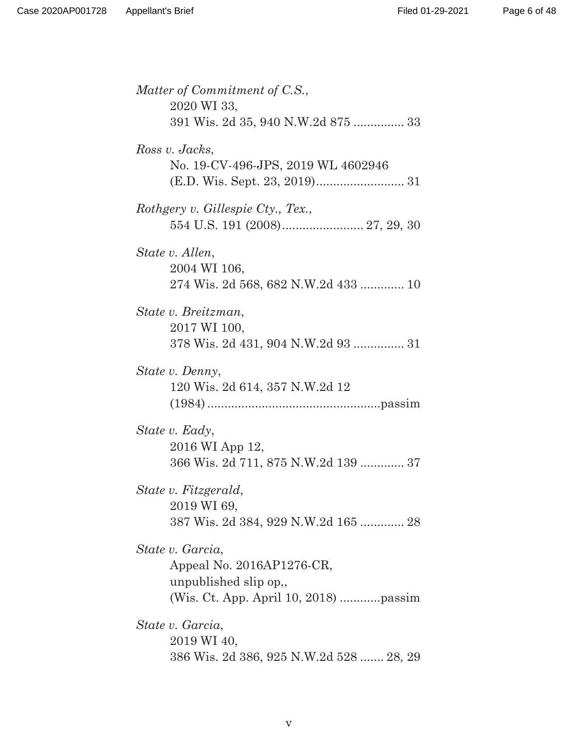Page 6 of 48

| Matter of Commitment of C.S.,<br>2020 WI 33,                                                                   |
|----------------------------------------------------------------------------------------------------------------|
| 391 Wis. 2d 35, 940 N.W.2d 875  33                                                                             |
| Ross v. Jacks,<br>No. 19-CV-496-JPS, 2019 WL 4602946                                                           |
| Rothgery v. Gillespie Cty., Tex.,                                                                              |
| State v. Allen,<br>2004 WI 106,<br>274 Wis. 2d 568, 682 N.W.2d 433  10                                         |
| State v. Breitzman,<br>2017 WI 100,<br>378 Wis. 2d 431, 904 N.W.2d 93  31                                      |
| State v. Denny,<br>120 Wis. 2d 614, 357 N.W.2d 12                                                              |
| State v. Eady,<br>2016 WI App 12,<br>366 Wis. 2d 711, 875 N.W.2d 139  37                                       |
| State v. Fitzgerald,<br>2019 WI 69,<br>387 Wis. 2d 384, 929 N.W.2d 165  28                                     |
| State v. Garcia,<br>Appeal No. 2016AP1276-CR,<br>unpublished slip op,<br>(Wis. Ct. App. April 10, 2018) passim |
| State v. Garcia,<br>2019 WI 40,<br>386 Wis. 2d 386, 925 N.W.2d 528  28, 29                                     |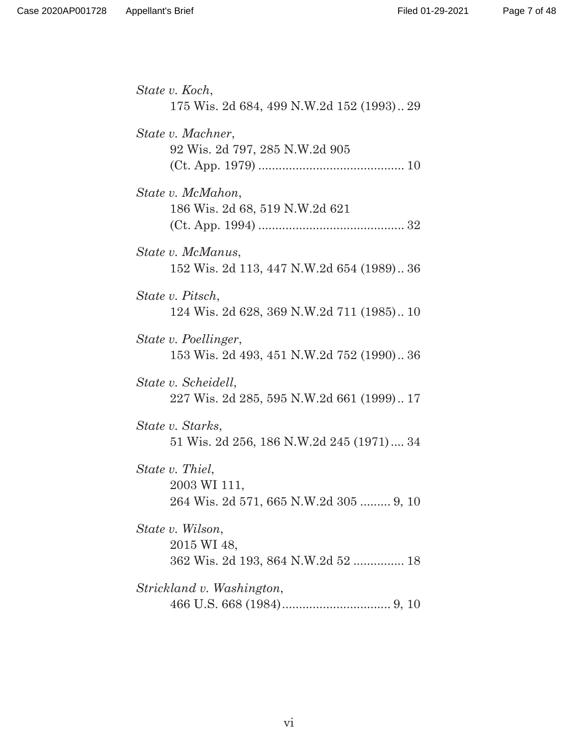| State v. Koch,<br>175 Wis. 2d 684, 499 N.W.2d 152 (1993) 29               |
|---------------------------------------------------------------------------|
| State v. Machner,<br>92 Wis. 2d 797, 285 N.W.2d 905                       |
| State v. McMahon,<br>186 Wis. 2d 68, 519 N.W.2d 621                       |
| State v. McManus,<br>152 Wis. 2d 113, 447 N.W.2d 654 (1989) 36            |
| State v. Pitsch,<br>124 Wis. 2d 628, 369 N.W.2d 711 (1985) 10             |
| State v. Poellinger,<br>153 Wis. 2d 493, 451 N.W.2d 752 (1990) 36         |
| State v. Scheidell,<br>227 Wis. 2d 285, 595 N.W.2d 661 (1999) 17          |
| State v. Starks,<br>51 Wis. 2d 256, 186 N.W.2d 245 (1971) 34              |
| State v. Thiel,<br>2003 WI 111,<br>264 Wis. 2d 571, 665 N.W.2d 305  9, 10 |
| State v. Wilson,<br>2015 WI 48,<br>362 Wis. 2d 193, 864 N.W.2d 52  18     |
| Strickland v. Washington,                                                 |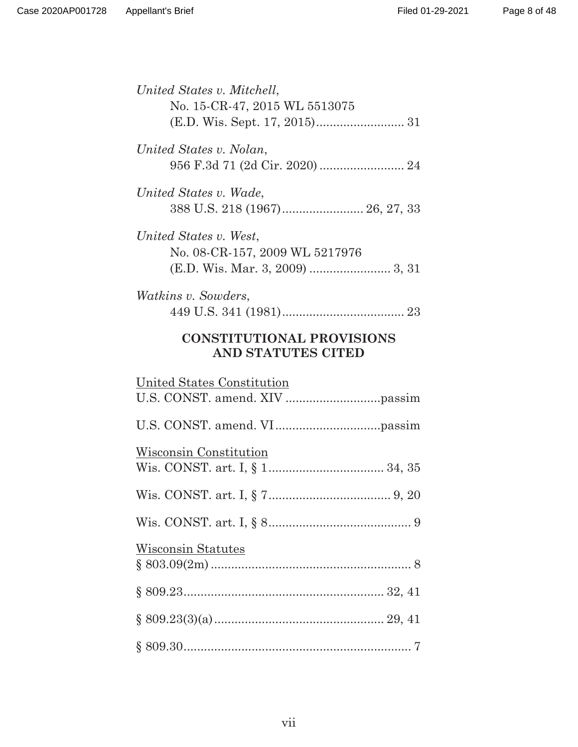| United States v. Mitchell,<br>No. 15-CR-47, 2015 WL 5513075 |
|-------------------------------------------------------------|
| United States v. Nolan,<br>956 F.3d 71 (2d Cir. 2020)  24   |
| United States v. Wade,                                      |
| United States v. West,<br>No. 08-CR-157, 2009 WL 5217976    |
| <i>Watkins v. Sowders,</i>                                  |
| <b>CONSTITUTIONAL PROVISIONS</b>                            |
| <b>AND STATUTES CITED</b>                                   |
| United States Constitution                                  |
|                                                             |
| Wisconsin Constitution                                      |
|                                                             |
|                                                             |
| <b>Wisconsin Statutes</b>                                   |
|                                                             |
|                                                             |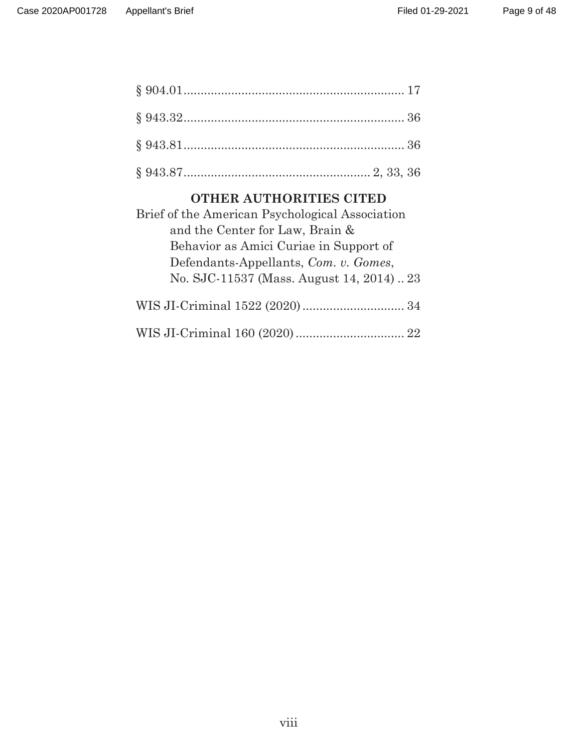# **OTHER AUTHORITIES CITED**

| Brief of the American Psychological Association |
|-------------------------------------------------|
| and the Center for Law, Brain &                 |
| Behavior as Amici Curiae in Support of          |
| Defendants-Appellants, Com. v. Gomes,           |
| No. SJC-11537 (Mass. August 14, 2014)23         |
|                                                 |
|                                                 |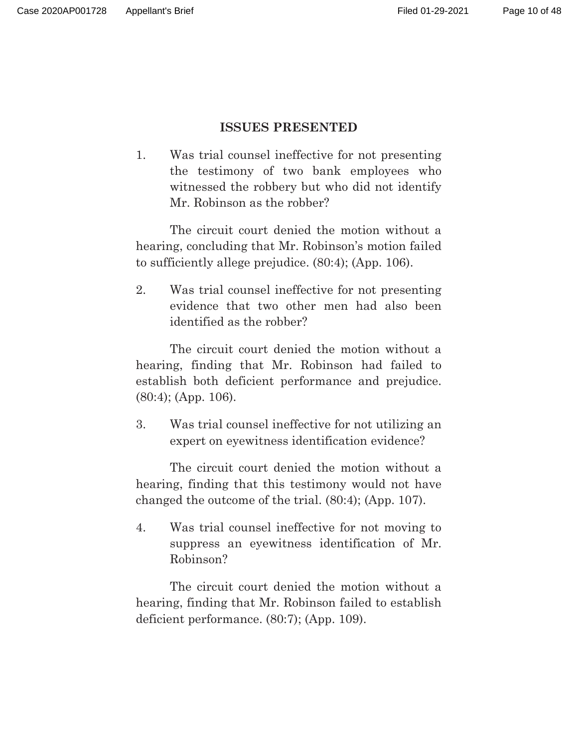## **ISSUES PRESENTED**

1. Was trial counsel ineffective for not presenting the testimony of two bank employees who witnessed the robbery but who did not identify Mr. Robinson as the robber?

The circuit court denied the motion without a hearing, concluding that Mr. Robinson's motion failed to sufficiently allege prejudice. (80:4); (App. 106).

2. Was trial counsel ineffective for not presenting evidence that two other men had also been identified as the robber?

The circuit court denied the motion without a hearing, finding that Mr. Robinson had failed to establish both deficient performance and prejudice. (80:4); (App. 106).

3. Was trial counsel ineffective for not utilizing an expert on eyewitness identification evidence?

The circuit court denied the motion without a hearing, finding that this testimony would not have changed the outcome of the trial. (80:4); (App. 107).

4. Was trial counsel ineffective for not moving to suppress an eyewitness identification of Mr. Robinson?

The circuit court denied the motion without a hearing, finding that Mr. Robinson failed to establish deficient performance. (80:7); (App. 109).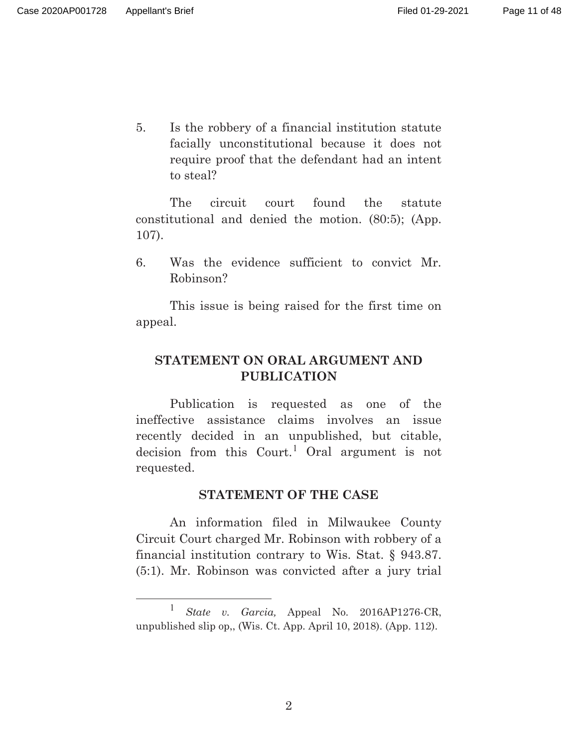5. Is the robbery of a financial institution statute facially unconstitutional because it does not require proof that the defendant had an intent to steal?

The circuit court found the statute constitutional and denied the motion. (80:5); (App. 107).

6. Was the evidence sufficient to convict Mr. Robinson?

This issue is being raised for the first time on appeal.

# **STATEMENT ON ORAL ARGUMENT AND PUBLICATION**

Publication is requested as one of the ineffective assistance claims involves an issue recently decided in an unpublished, but citable, decision from this  $Court.<sup>1</sup>$  Oral argument is not requested.

### **STATEMENT OF THE CASE**

An information filed in Milwaukee County Circuit Court charged Mr. Robinson with robbery of a financial institution contrary to Wis. Stat. § 943.87. (5:1). Mr. Robinson was convicted after a jury trial

<sup>1</sup> *State v. Garcia,* Appeal No. 2016AP1276-CR, unpublished slip op,, (Wis. Ct. App. April 10, 2018). (App. 112).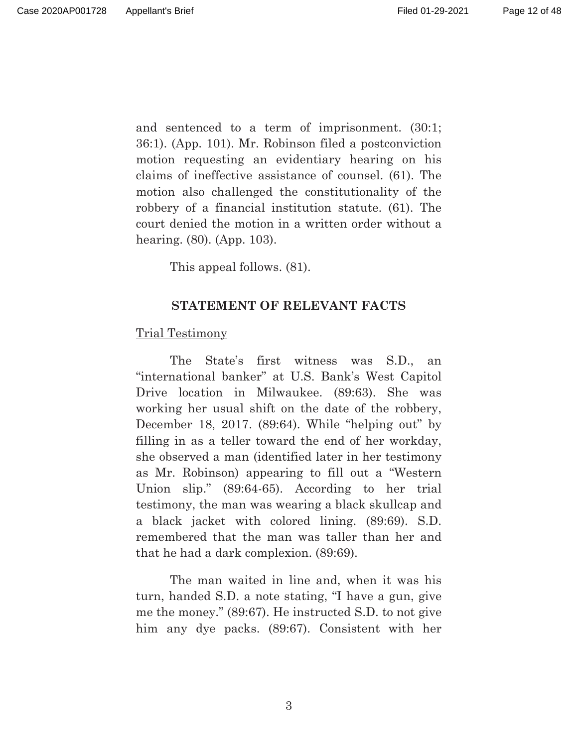and sentenced to a term of imprisonment. (30:1; 36:1). (App. 101). Mr. Robinson filed a postconviction motion requesting an evidentiary hearing on his claims of ineffective assistance of counsel. (61). The motion also challenged the constitutionality of the robbery of a financial institution statute. (61). The court denied the motion in a written order without a hearing. (80). (App. 103).

This appeal follows. (81).

## **STATEMENT OF RELEVANT FACTS**

### Trial Testimony

 The State's first witness was S.D., an "international banker" at U.S. Bank's West Capitol Drive location in Milwaukee. (89:63). She was working her usual shift on the date of the robbery, December 18, 2017. (89:64). While "helping out" by filling in as a teller toward the end of her workday, she observed a man (identified later in her testimony as Mr. Robinson) appearing to fill out a "Western Union slip." (89:64-65). According to her trial testimony, the man was wearing a black skullcap and a black jacket with colored lining. (89:69). S.D. remembered that the man was taller than her and that he had a dark complexion. (89:69).

The man waited in line and, when it was his turn, handed S.D. a note stating, "I have a gun, give me the money." (89:67). He instructed S.D. to not give him any dye packs. (89:67). Consistent with her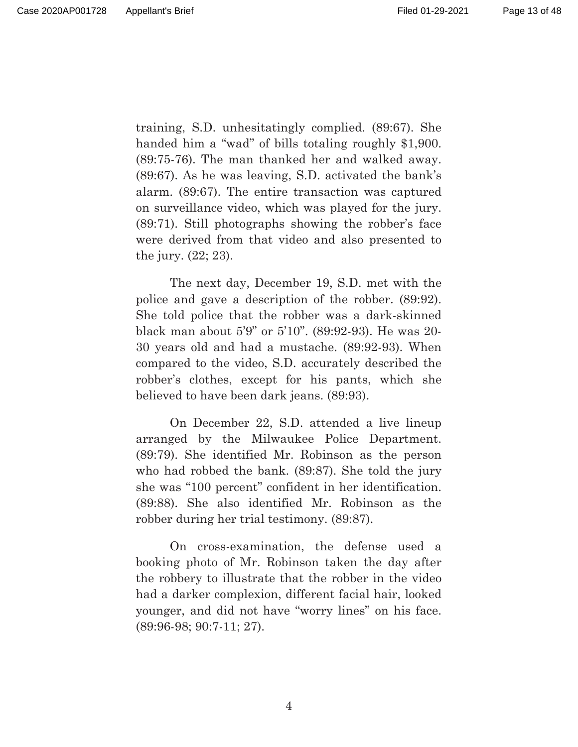training, S.D. unhesitatingly complied. (89:67). She handed him a "wad" of bills totaling roughly \$1,900. (89:75-76). The man thanked her and walked away. (89:67). As he was leaving, S.D. activated the bank's alarm. (89:67). The entire transaction was captured on surveillance video, which was played for the jury. (89:71). Still photographs showing the robber's face were derived from that video and also presented to the jury. (22; 23).

The next day, December 19, S.D. met with the police and gave a description of the robber. (89:92). She told police that the robber was a dark-skinned black man about 5'9" or 5'10". (89:92-93). He was 20- 30 years old and had a mustache. (89:92-93). When compared to the video, S.D. accurately described the robber's clothes, except for his pants, which she believed to have been dark jeans. (89:93).

On December 22, S.D. attended a live lineup arranged by the Milwaukee Police Department. (89:79). She identified Mr. Robinson as the person who had robbed the bank. (89:87). She told the jury she was "100 percent" confident in her identification. (89:88). She also identified Mr. Robinson as the robber during her trial testimony. (89:87).

On cross-examination, the defense used a booking photo of Mr. Robinson taken the day after the robbery to illustrate that the robber in the video had a darker complexion, different facial hair, looked younger, and did not have "worry lines" on his face. (89:96-98; 90:7-11; 27).

4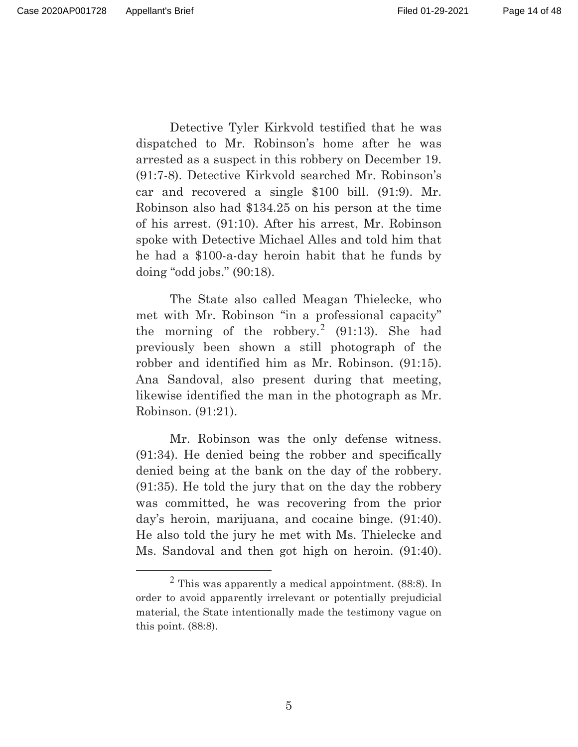Detective Tyler Kirkvold testified that he was dispatched to Mr. Robinson's home after he was arrested as a suspect in this robbery on December 19. (91:7-8). Detective Kirkvold searched Mr. Robinson's car and recovered a single \$100 bill. (91:9). Mr. Robinson also had \$134.25 on his person at the time of his arrest. (91:10). After his arrest, Mr. Robinson spoke with Detective Michael Alles and told him that he had a \$100-a-day heroin habit that he funds by doing "odd jobs." (90:18).

 The State also called Meagan Thielecke, who met with Mr. Robinson "in a professional capacity" the morning of the robbery.<sup>2</sup> (91:13). She had previously been shown a still photograph of the robber and identified him as Mr. Robinson. (91:15). Ana Sandoval, also present during that meeting, likewise identified the man in the photograph as Mr. Robinson. (91:21).

 Mr. Robinson was the only defense witness. (91:34). He denied being the robber and specifically denied being at the bank on the day of the robbery. (91:35). He told the jury that on the day the robbery was committed, he was recovering from the prior day's heroin, marijuana, and cocaine binge. (91:40). He also told the jury he met with Ms. Thielecke and Ms. Sandoval and then got high on heroin. (91:40).

 $<sup>2</sup>$  This was apparently a medical appointment. (88:8). In</sup> order to avoid apparently irrelevant or potentially prejudicial material, the State intentionally made the testimony vague on this point. (88:8).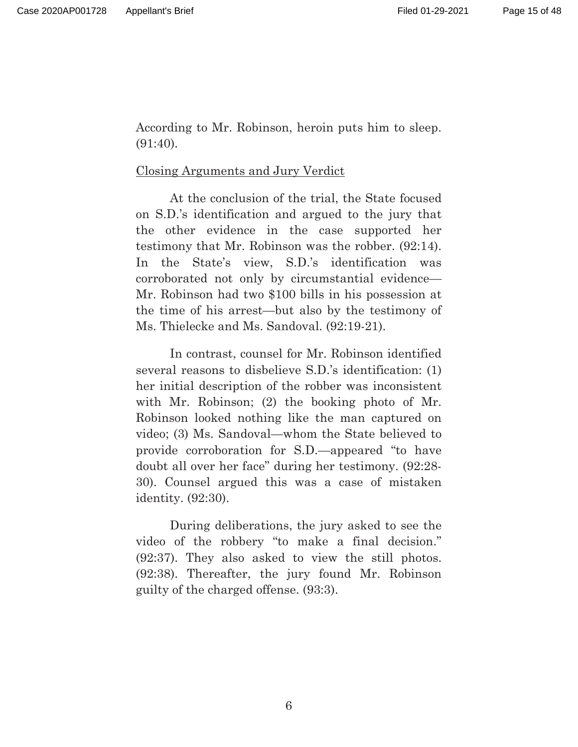According to Mr. Robinson, heroin puts him to sleep. (91:40).

## Closing Arguments and Jury Verdict

 At the conclusion of the trial, the State focused on S.D.'s identification and argued to the jury that the other evidence in the case supported her testimony that Mr. Robinson was the robber. (92:14). In the State's view, S.D.'s identification was corroborated not only by circumstantial evidence— Mr. Robinson had two \$100 bills in his possession at the time of his arrest—but also by the testimony of Ms. Thielecke and Ms. Sandoval. (92:19-21).

 In contrast, counsel for Mr. Robinson identified several reasons to disbelieve S.D.'s identification: (1) her initial description of the robber was inconsistent with Mr. Robinson; (2) the booking photo of Mr. Robinson looked nothing like the man captured on video; (3) Ms. Sandoval—whom the State believed to provide corroboration for S.D.—appeared "to have doubt all over her face" during her testimony. (92:28- 30). Counsel argued this was a case of mistaken identity. (92:30).

 During deliberations, the jury asked to see the video of the robbery "to make a final decision." (92:37). They also asked to view the still photos. (92:38). Thereafter, the jury found Mr. Robinson guilty of the charged offense. (93:3).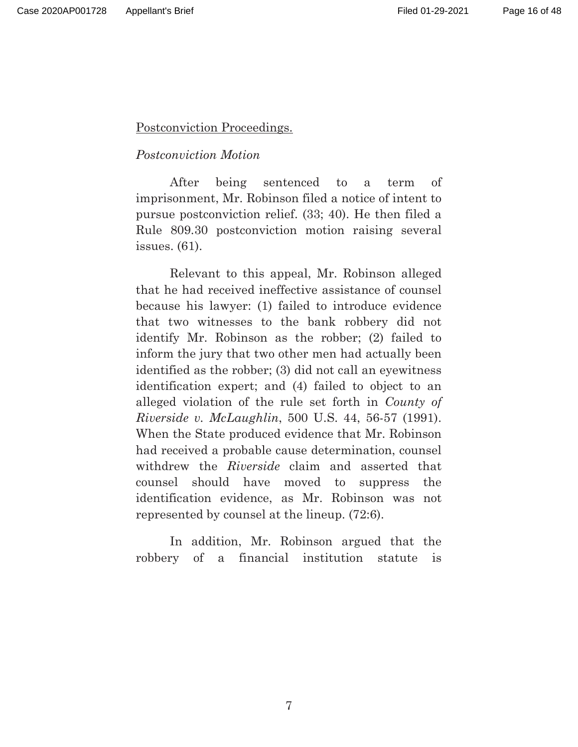Postconviction Proceedings.

## *Postconviction Motion*

After being sentenced to a term of imprisonment, Mr. Robinson filed a notice of intent to pursue postconviction relief. (33; 40). He then filed a Rule 809.30 postconviction motion raising several issues. (61).

Relevant to this appeal, Mr. Robinson alleged that he had received ineffective assistance of counsel because his lawyer: (1) failed to introduce evidence that two witnesses to the bank robbery did not identify Mr. Robinson as the robber; (2) failed to inform the jury that two other men had actually been identified as the robber; (3) did not call an eyewitness identification expert; and (4) failed to object to an alleged violation of the rule set forth in *County of Riverside v. McLaughlin*, 500 U.S. 44, 56-57 (1991). When the State produced evidence that Mr. Robinson had received a probable cause determination, counsel withdrew the *Riverside* claim and asserted that counsel should have moved to suppress the identification evidence, as Mr. Robinson was not represented by counsel at the lineup. (72:6).

In addition, Mr. Robinson argued that the robbery of a financial institution statute is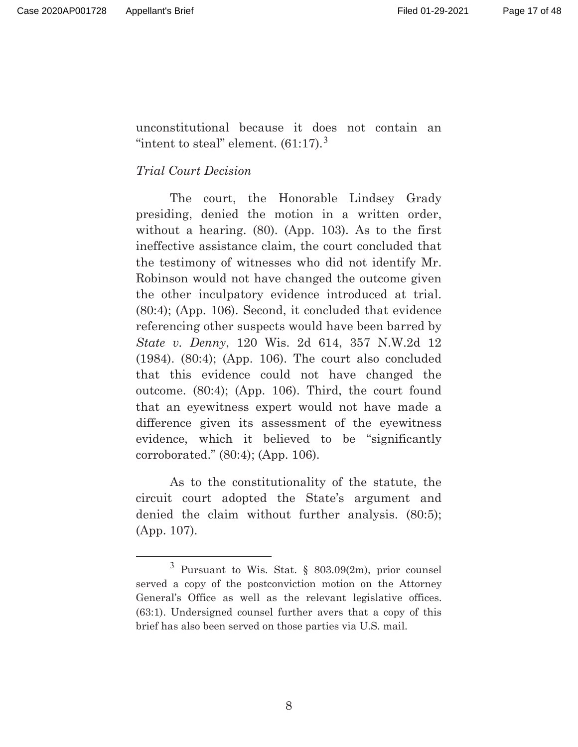unconstitutional because it does not contain an "intent to steal" element.  $(61:17).$ <sup>3</sup>

## *Trial Court Decision*

 The court, the Honorable Lindsey Grady presiding, denied the motion in a written order, without a hearing. (80). (App. 103). As to the first ineffective assistance claim, the court concluded that the testimony of witnesses who did not identify Mr. Robinson would not have changed the outcome given the other inculpatory evidence introduced at trial. (80:4); (App. 106). Second, it concluded that evidence referencing other suspects would have been barred by *State v. Denny*, 120 Wis. 2d 614, 357 N.W.2d 12 (1984). (80:4); (App. 106). The court also concluded that this evidence could not have changed the outcome. (80:4); (App. 106). Third, the court found that an eyewitness expert would not have made a difference given its assessment of the eyewitness evidence, which it believed to be "significantly corroborated." (80:4); (App. 106).

 As to the constitutionality of the statute, the circuit court adopted the State's argument and denied the claim without further analysis. (80:5); (App. 107).

 $3$  Pursuant to Wis. Stat.  $803.09(2m)$ , prior counsel served a copy of the postconviction motion on the Attorney General's Office as well as the relevant legislative offices. (63:1). Undersigned counsel further avers that a copy of this brief has also been served on those parties via U.S. mail.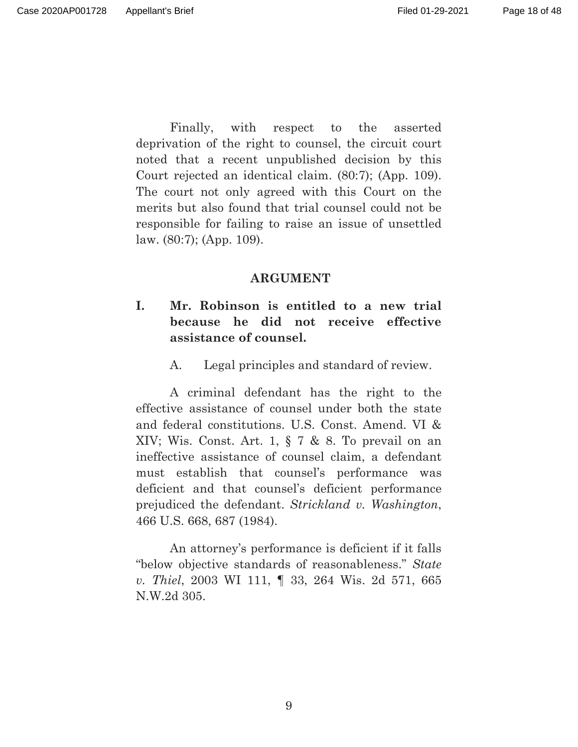Page 18 of 48

 Finally, with respect to the asserted deprivation of the right to counsel, the circuit court noted that a recent unpublished decision by this Court rejected an identical claim. (80:7); (App. 109). The court not only agreed with this Court on the merits but also found that trial counsel could not be responsible for failing to raise an issue of unsettled law. (80:7); (App. 109).

#### **ARGUMENT**

## **I. Mr. Robinson is entitled to a new trial because he did not receive effective assistance of counsel.**

A. Legal principles and standard of review.

A criminal defendant has the right to the effective assistance of counsel under both the state and federal constitutions. U.S. Const. Amend. VI & XIV; Wis. Const. Art. 1, § 7 & 8. To prevail on an ineffective assistance of counsel claim, a defendant must establish that counsel's performance was deficient and that counsel's deficient performance prejudiced the defendant. *Strickland v. Washington*, 466 U.S. 668, 687 (1984).

An attorney's performance is deficient if it falls "below objective standards of reasonableness." *State v. Thiel*, 2003 WI 111, ¶ 33, 264 Wis. 2d 571, 665 N.W.2d 305.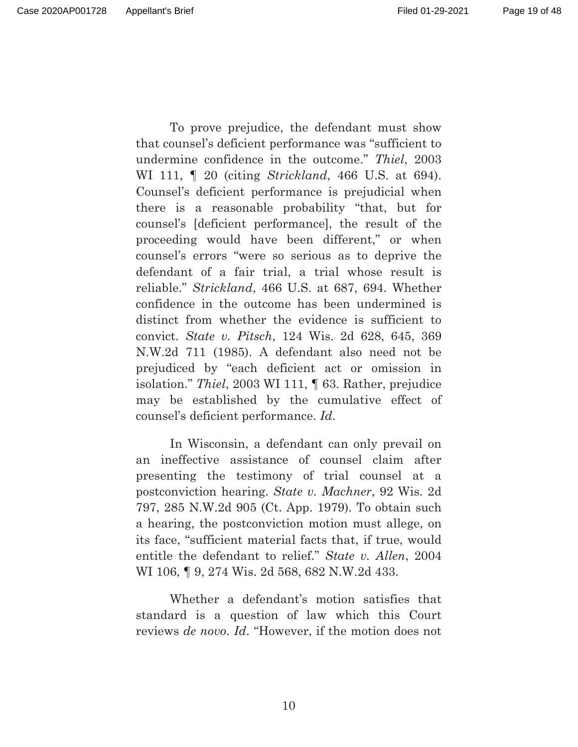Page 19 of 48

To prove prejudice, the defendant must show that counsel's deficient performance was "sufficient to undermine confidence in the outcome." *Thiel*, 2003 WI 111, ¶ 20 (citing *Strickland*, 466 U.S. at 694). Counsel's deficient performance is prejudicial when there is a reasonable probability "that, but for counsel's [deficient performance], the result of the proceeding would have been different," or when counsel's errors "were so serious as to deprive the defendant of a fair trial, a trial whose result is reliable." *Strickland*, 466 U.S. at 687, 694. Whether confidence in the outcome has been undermined is distinct from whether the evidence is sufficient to convict. *State v. Pitsch*, 124 Wis. 2d 628, 645, 369 N.W.2d 711 (1985). A defendant also need not be prejudiced by "each deficient act or omission in isolation." *Thiel*, 2003 WI 111, ¶ 63. Rather, prejudice may be established by the cumulative effect of counsel's deficient performance. *Id*.

In Wisconsin, a defendant can only prevail on an ineffective assistance of counsel claim after presenting the testimony of trial counsel at a postconviction hearing. *State v. Machner*, 92 Wis. 2d 797, 285 N.W.2d 905 (Ct. App. 1979). To obtain such a hearing, the postconviction motion must allege, on its face, "sufficient material facts that, if true, would entitle the defendant to relief." *State v. Allen*, 2004 WI 106, ¶ 9, 274 Wis. 2d 568, 682 N.W.2d 433.

Whether a defendant's motion satisfies that standard is a question of law which this Court reviews *de novo*. *Id*. "However, if the motion does not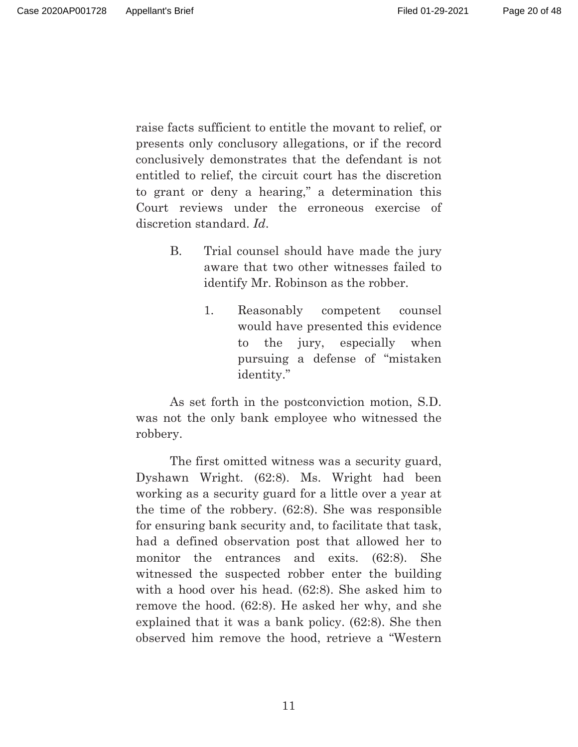Page 20 of 48

raise facts sufficient to entitle the movant to relief, or presents only conclusory allegations, or if the record conclusively demonstrates that the defendant is not entitled to relief, the circuit court has the discretion to grant or deny a hearing," a determination this Court reviews under the erroneous exercise of discretion standard. *Id*.

- B. Trial counsel should have made the jury aware that two other witnesses failed to identify Mr. Robinson as the robber.
	- 1. Reasonably competent counsel would have presented this evidence to the jury, especially when pursuing a defense of "mistaken identity."

As set forth in the postconviction motion, S.D. was not the only bank employee who witnessed the robbery.

The first omitted witness was a security guard, Dyshawn Wright. (62:8). Ms. Wright had been working as a security guard for a little over a year at the time of the robbery. (62:8). She was responsible for ensuring bank security and, to facilitate that task, had a defined observation post that allowed her to monitor the entrances and exits. (62:8). She witnessed the suspected robber enter the building with a hood over his head. (62:8). She asked him to remove the hood. (62:8). He asked her why, and she explained that it was a bank policy. (62:8). She then observed him remove the hood, retrieve a "Western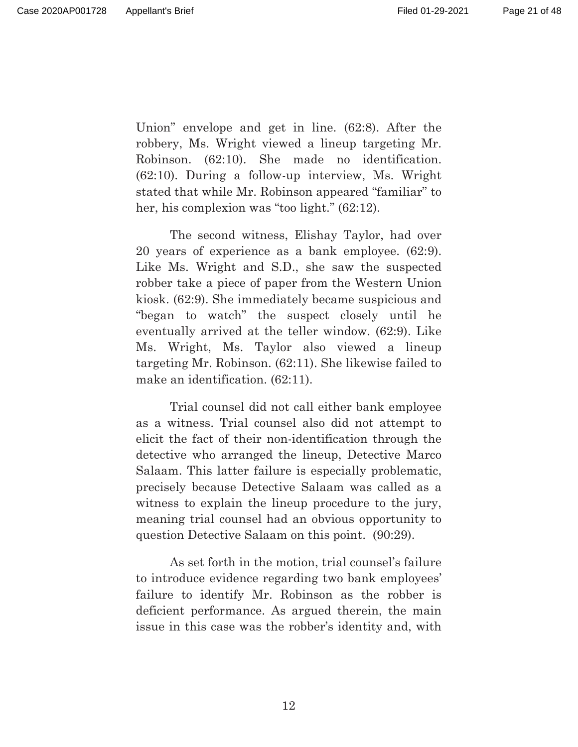Union" envelope and get in line. (62:8). After the robbery, Ms. Wright viewed a lineup targeting Mr. Robinson. (62:10). She made no identification. (62:10). During a follow-up interview, Ms. Wright stated that while Mr. Robinson appeared "familiar" to her, his complexion was "too light." (62:12).

The second witness, Elishay Taylor, had over 20 years of experience as a bank employee. (62:9). Like Ms. Wright and S.D., she saw the suspected robber take a piece of paper from the Western Union kiosk. (62:9). She immediately became suspicious and "began to watch" the suspect closely until he eventually arrived at the teller window. (62:9). Like Ms. Wright, Ms. Taylor also viewed a lineup targeting Mr. Robinson. (62:11). She likewise failed to make an identification.  $(62:11)$ .

Trial counsel did not call either bank employee as a witness. Trial counsel also did not attempt to elicit the fact of their non-identification through the detective who arranged the lineup, Detective Marco Salaam. This latter failure is especially problematic, precisely because Detective Salaam was called as a witness to explain the lineup procedure to the jury, meaning trial counsel had an obvious opportunity to question Detective Salaam on this point. (90:29).

As set forth in the motion, trial counsel's failure to introduce evidence regarding two bank employees' failure to identify Mr. Robinson as the robber is deficient performance. As argued therein, the main issue in this case was the robber's identity and, with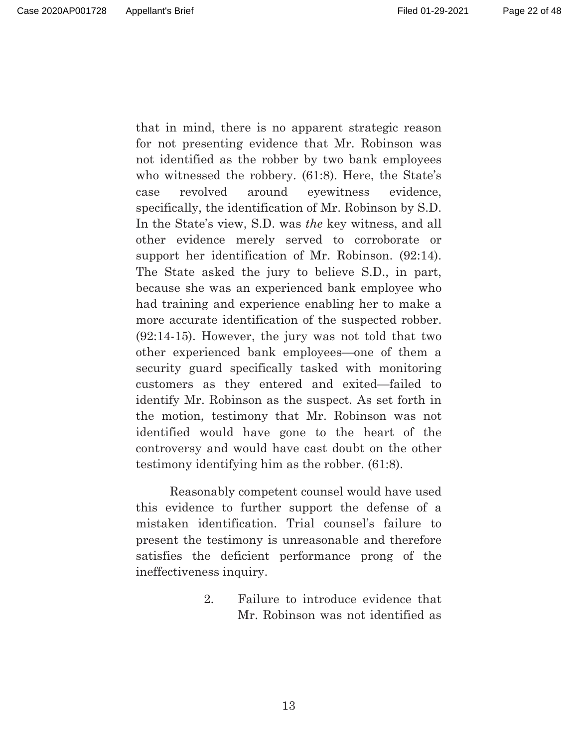Page 22 of 48

that in mind, there is no apparent strategic reason for not presenting evidence that Mr. Robinson was not identified as the robber by two bank employees who witnessed the robbery. (61:8). Here, the State's case revolved around eyewitness evidence, specifically, the identification of Mr. Robinson by S.D. In the State's view, S.D. was *the* key witness, and all other evidence merely served to corroborate or support her identification of Mr. Robinson. (92:14). The State asked the jury to believe S.D., in part, because she was an experienced bank employee who had training and experience enabling her to make a more accurate identification of the suspected robber. (92:14-15). However, the jury was not told that two

other experienced bank employees—one of them a security guard specifically tasked with monitoring customers as they entered and exited—failed to identify Mr. Robinson as the suspect. As set forth in the motion, testimony that Mr. Robinson was not identified would have gone to the heart of the controversy and would have cast doubt on the other testimony identifying him as the robber. (61:8).

Reasonably competent counsel would have used this evidence to further support the defense of a mistaken identification. Trial counsel's failure to present the testimony is unreasonable and therefore satisfies the deficient performance prong of the ineffectiveness inquiry.

> 2. Failure to introduce evidence that Mr. Robinson was not identified as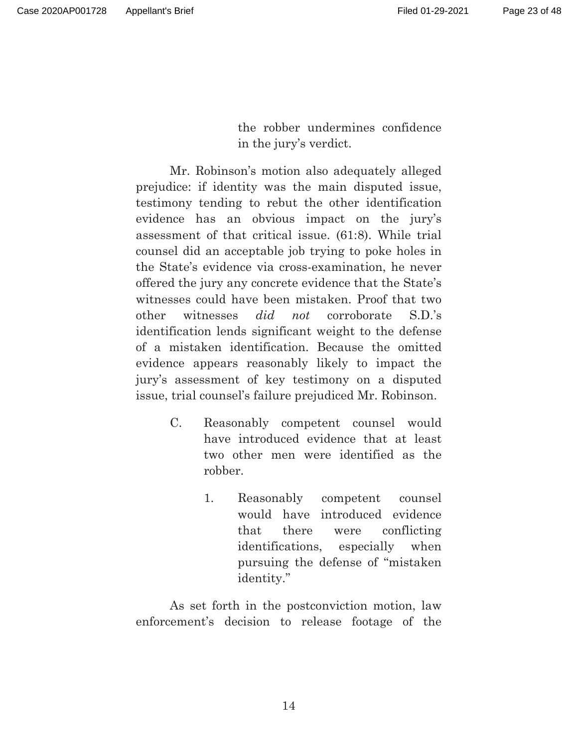the robber undermines confidence in the jury's verdict.

 Mr. Robinson's motion also adequately alleged prejudice: if identity was the main disputed issue, testimony tending to rebut the other identification evidence has an obvious impact on the jury's assessment of that critical issue. (61:8). While trial counsel did an acceptable job trying to poke holes in the State's evidence via cross-examination, he never offered the jury any concrete evidence that the State's witnesses could have been mistaken. Proof that two other witnesses *did not* corroborate S.D.'s identification lends significant weight to the defense of a mistaken identification. Because the omitted evidence appears reasonably likely to impact the jury's assessment of key testimony on a disputed issue, trial counsel's failure prejudiced Mr. Robinson.

- C. Reasonably competent counsel would have introduced evidence that at least two other men were identified as the robber.
	- 1. Reasonably competent counsel would have introduced evidence that there were conflicting identifications, especially when pursuing the defense of "mistaken identity."

As set forth in the postconviction motion, law enforcement's decision to release footage of the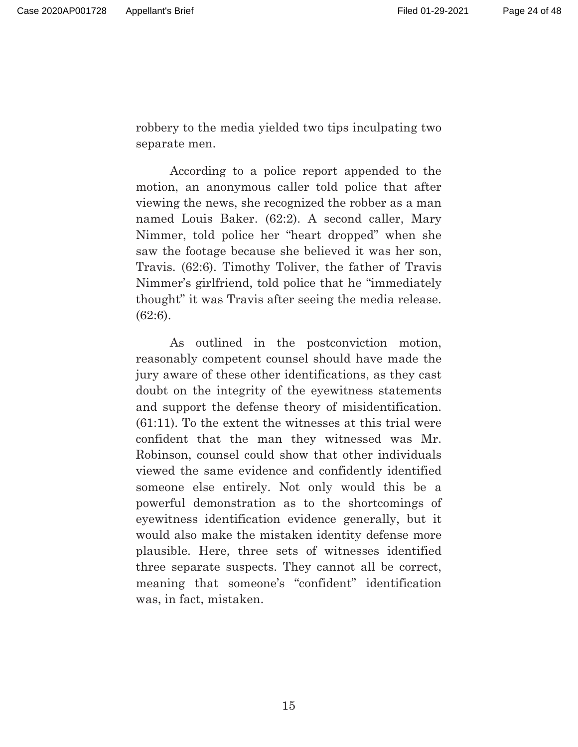robbery to the media yielded two tips inculpating two separate men.

According to a police report appended to the motion, an anonymous caller told police that after viewing the news, she recognized the robber as a man named Louis Baker. (62:2). A second caller, Mary Nimmer, told police her "heart dropped" when she saw the footage because she believed it was her son, Travis. (62:6). Timothy Toliver, the father of Travis Nimmer's girlfriend, told police that he "immediately thought" it was Travis after seeing the media release. (62:6).

As outlined in the postconviction motion, reasonably competent counsel should have made the jury aware of these other identifications, as they cast doubt on the integrity of the eyewitness statements and support the defense theory of misidentification. (61:11). To the extent the witnesses at this trial were confident that the man they witnessed was Mr. Robinson, counsel could show that other individuals viewed the same evidence and confidently identified someone else entirely. Not only would this be a powerful demonstration as to the shortcomings of eyewitness identification evidence generally, but it would also make the mistaken identity defense more plausible. Here, three sets of witnesses identified three separate suspects. They cannot all be correct, meaning that someone's "confident" identification was, in fact, mistaken.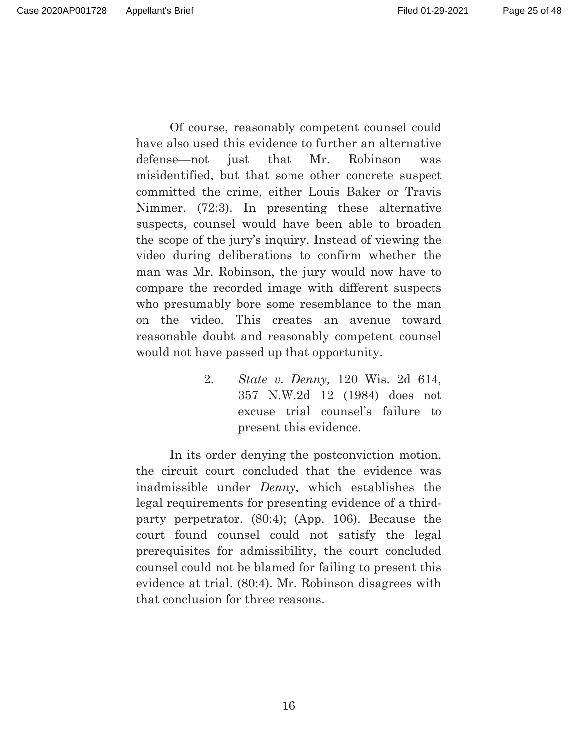Page 25 of 48

Of course, reasonably competent counsel could have also used this evidence to further an alternative defense—not just that Mr. Robinson was misidentified, but that some other concrete suspect committed the crime, either Louis Baker or Travis Nimmer. (72:3). In presenting these alternative suspects, counsel would have been able to broaden the scope of the jury's inquiry. Instead of viewing the video during deliberations to confirm whether the man was Mr. Robinson, the jury would now have to compare the recorded image with different suspects who presumably bore some resemblance to the man on the video. This creates an avenue toward reasonable doubt and reasonably competent counsel would not have passed up that opportunity.

> 2. *State v. Denny,* 120 Wis. 2d 614, 357 N.W.2d 12 (1984) does not excuse trial counsel's failure to present this evidence.

In its order denying the postconviction motion, the circuit court concluded that the evidence was inadmissible under *Denny*, which establishes the legal requirements for presenting evidence of a thirdparty perpetrator. (80:4); (App. 106). Because the court found counsel could not satisfy the legal prerequisites for admissibility, the court concluded counsel could not be blamed for failing to present this evidence at trial. (80:4). Mr. Robinson disagrees with that conclusion for three reasons.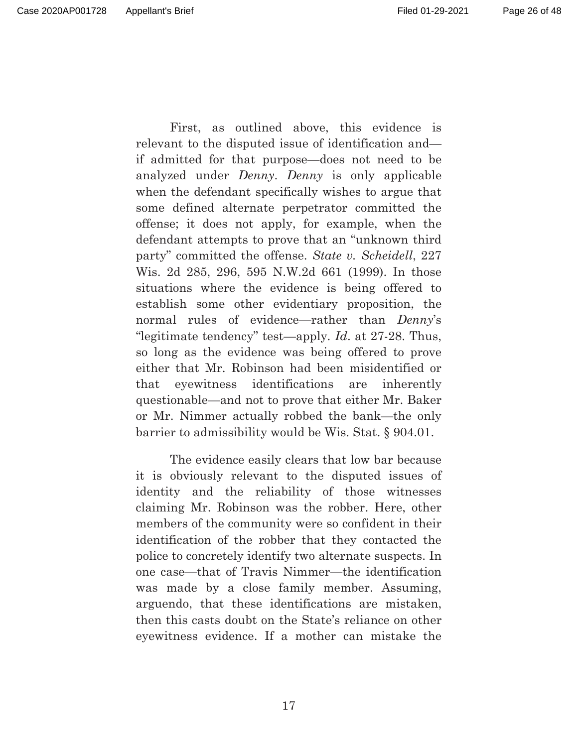Page 26 of 48

First, as outlined above, this evidence is relevant to the disputed issue of identification and if admitted for that purpose—does not need to be analyzed under *Denny*. *Denny* is only applicable when the defendant specifically wishes to argue that some defined alternate perpetrator committed the offense; it does not apply, for example, when the defendant attempts to prove that an "unknown third party" committed the offense. *State v. Scheidell*, 227 Wis. 2d 285, 296, 595 N.W.2d 661 (1999). In those situations where the evidence is being offered to establish some other evidentiary proposition, the normal rules of evidence—rather than *Denny*'s "legitimate tendency" test—apply. *Id*. at 27-28. Thus, so long as the evidence was being offered to prove either that Mr. Robinson had been misidentified or that eyewitness identifications are inherently questionable—and not to prove that either Mr. Baker or Mr. Nimmer actually robbed the bank—the only barrier to admissibility would be Wis. Stat. § 904.01.

The evidence easily clears that low bar because it is obviously relevant to the disputed issues of identity and the reliability of those witnesses claiming Mr. Robinson was the robber. Here, other members of the community were so confident in their identification of the robber that they contacted the police to concretely identify two alternate suspects. In one case—that of Travis Nimmer—the identification was made by a close family member. Assuming, arguendo, that these identifications are mistaken, then this casts doubt on the State's reliance on other eyewitness evidence. If a mother can mistake the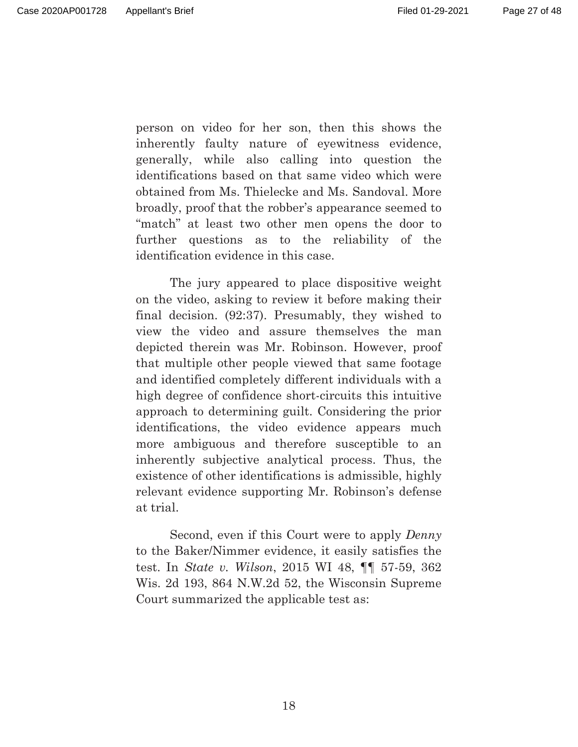Page 27 of 48

person on video for her son, then this shows the inherently faulty nature of eyewitness evidence, generally, while also calling into question the identifications based on that same video which were obtained from Ms. Thielecke and Ms. Sandoval. More broadly, proof that the robber's appearance seemed to "match" at least two other men opens the door to further questions as to the reliability of the identification evidence in this case.

The jury appeared to place dispositive weight on the video, asking to review it before making their final decision. (92:37). Presumably, they wished to view the video and assure themselves the man depicted therein was Mr. Robinson. However, proof that multiple other people viewed that same footage and identified completely different individuals with a high degree of confidence short-circuits this intuitive approach to determining guilt. Considering the prior identifications, the video evidence appears much more ambiguous and therefore susceptible to an inherently subjective analytical process. Thus, the existence of other identifications is admissible, highly relevant evidence supporting Mr. Robinson's defense at trial.

Second, even if this Court were to apply *Denny* to the Baker/Nimmer evidence, it easily satisfies the test. In *State v. Wilson*, 2015 WI 48, ¶¶ 57-59, 362 Wis. 2d 193, 864 N.W.2d 52, the Wisconsin Supreme Court summarized the applicable test as: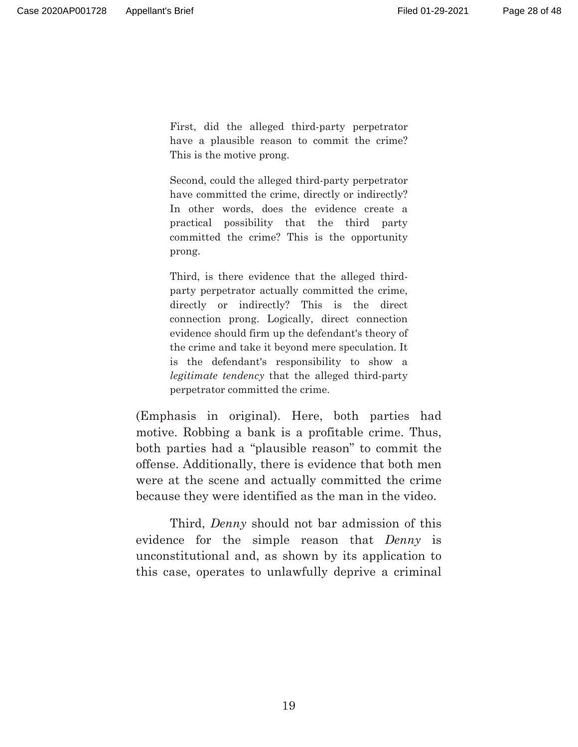First, did the alleged third-party perpetrator have a plausible reason to commit the crime? This is the motive prong.

Second, could the alleged third-party perpetrator have committed the crime, directly or indirectly? In other words, does the evidence create a practical possibility that the third party committed the crime? This is the opportunity prong.

Third, is there evidence that the alleged thirdparty perpetrator actually committed the crime, directly or indirectly? This is the direct connection prong. Logically, direct connection evidence should firm up the defendant's theory of the crime and take it beyond mere speculation. It is the defendant's responsibility to show a *legitimate tendency* that the alleged third-party perpetrator committed the crime.

(Emphasis in original). Here, both parties had motive. Robbing a bank is a profitable crime. Thus, both parties had a "plausible reason" to commit the offense. Additionally, there is evidence that both men were at the scene and actually committed the crime because they were identified as the man in the video.

Third, *Denny* should not bar admission of this evidence for the simple reason that *Denny* is unconstitutional and, as shown by its application to this case, operates to unlawfully deprive a criminal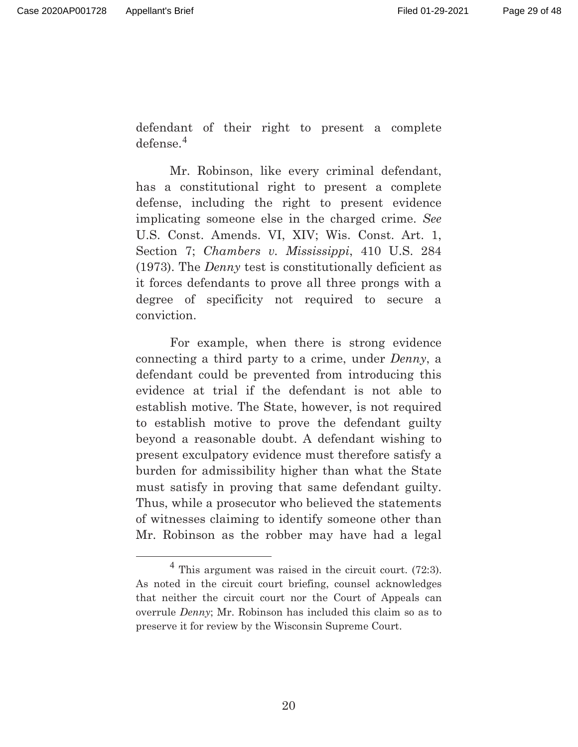defendant of their right to present a complete defense.<sup>4</sup>

Mr. Robinson, like every criminal defendant, has a constitutional right to present a complete defense, including the right to present evidence implicating someone else in the charged crime. *See* U.S. Const. Amends. VI, XIV; Wis. Const. Art. 1, Section 7; *Chambers v. Mississippi*, 410 U.S. 284 (1973). The *Denny* test is constitutionally deficient as it forces defendants to prove all three prongs with a degree of specificity not required to secure a conviction.

For example, when there is strong evidence connecting a third party to a crime, under *Denny*, a defendant could be prevented from introducing this evidence at trial if the defendant is not able to establish motive. The State, however, is not required to establish motive to prove the defendant guilty beyond a reasonable doubt. A defendant wishing to present exculpatory evidence must therefore satisfy a burden for admissibility higher than what the State must satisfy in proving that same defendant guilty. Thus, while a prosecutor who believed the statements of witnesses claiming to identify someone other than Mr. Robinson as the robber may have had a legal

 $4$  This argument was raised in the circuit court. (72:3). As noted in the circuit court briefing, counsel acknowledges that neither the circuit court nor the Court of Appeals can overrule *Denny*; Mr. Robinson has included this claim so as to preserve it for review by the Wisconsin Supreme Court.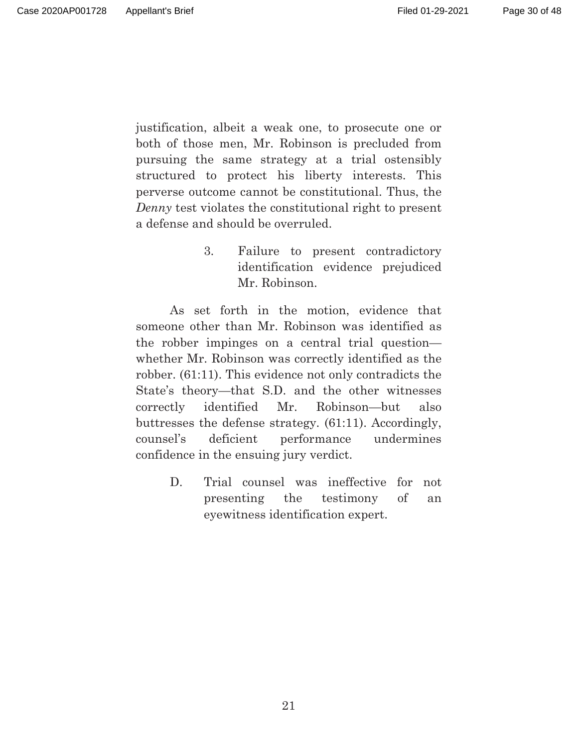Page 30 of 48

justification, albeit a weak one, to prosecute one or both of those men, Mr. Robinson is precluded from pursuing the same strategy at a trial ostensibly structured to protect his liberty interests. This perverse outcome cannot be constitutional. Thus, the *Denny* test violates the constitutional right to present a defense and should be overruled.

> 3. Failure to present contradictory identification evidence prejudiced Mr. Robinson.

 As set forth in the motion, evidence that someone other than Mr. Robinson was identified as the robber impinges on a central trial question whether Mr. Robinson was correctly identified as the robber. (61:11). This evidence not only contradicts the State's theory—that S.D. and the other witnesses correctly identified Mr. Robinson—but also buttresses the defense strategy. (61:11). Accordingly, counsel's deficient performance undermines confidence in the ensuing jury verdict.

> D. Trial counsel was ineffective for not presenting the testimony of an eyewitness identification expert.

> > 21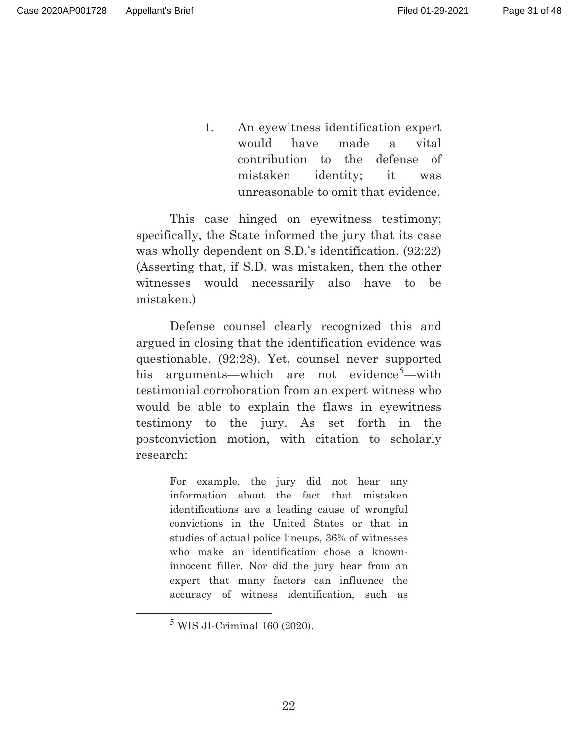1. An eyewitness identification expert would have made a vital contribution to the defense of mistaken identity; it was unreasonable to omit that evidence.

This case hinged on eyewitness testimony; specifically, the State informed the jury that its case was wholly dependent on S.D.'s identification. (92:22) (Asserting that, if S.D. was mistaken, then the other witnesses would necessarily also have to be mistaken.)

Defense counsel clearly recognized this and argued in closing that the identification evidence was questionable. (92:28). Yet, counsel never supported his arguments—which are not evidence<sup>5</sup>—with testimonial corroboration from an expert witness who would be able to explain the flaws in eyewitness testimony to the jury. As set forth in the postconviction motion, with citation to scholarly research:

> For example, the jury did not hear any information about the fact that mistaken identifications are a leading cause of wrongful convictions in the United States or that in studies of actual police lineups, 36% of witnesses who make an identification chose a knowninnocent filler. Nor did the jury hear from an expert that many factors can influence the accuracy of witness identification, such as

 $<sup>5</sup>$  WIS JI-Criminal 160 (2020).</sup>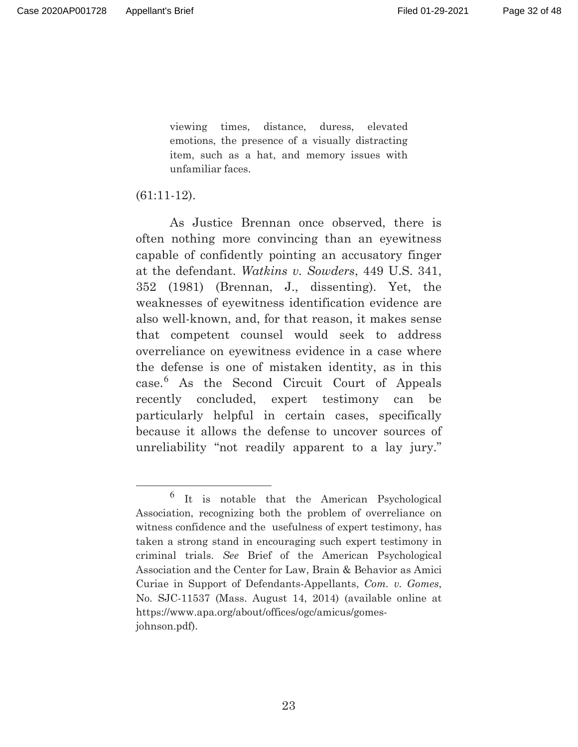viewing times, distance, duress, elevated emotions, the presence of a visually distracting item, such as a hat, and memory issues with unfamiliar faces.

#### (61:11-12).

As Justice Brennan once observed, there is often nothing more convincing than an eyewitness capable of confidently pointing an accusatory finger at the defendant. *Watkins v. Sowders*, 449 U.S. 341, 352 (1981) (Brennan, J., dissenting). Yet, the weaknesses of eyewitness identification evidence are also well-known, and, for that reason, it makes sense that competent counsel would seek to address overreliance on eyewitness evidence in a case where the defense is one of mistaken identity, as in this case.6 As the Second Circuit Court of Appeals recently concluded, expert testimony can be particularly helpful in certain cases, specifically because it allows the defense to uncover sources of unreliability "not readily apparent to a lay jury."

<sup>6</sup> It is notable that the American Psychological Association, recognizing both the problem of overreliance on witness confidence and the usefulness of expert testimony, has taken a strong stand in encouraging such expert testimony in criminal trials. *See* Brief of the American Psychological Association and the Center for Law, Brain & Behavior as Amici Curiae in Support of Defendants-Appellants, *Com. v. Gomes*, No. SJC-11537 (Mass. August 14, 2014) (available online at https://www.apa.org/about/offices/ogc/amicus/gomesjohnson.pdf).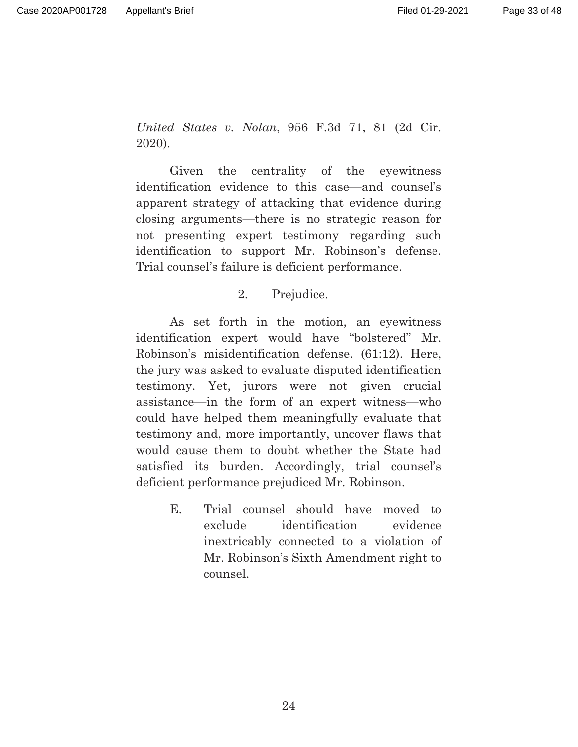*United States v. Nolan*, 956 F.3d 71, 81 (2d Cir. 2020).

Given the centrality of the eyewitness identification evidence to this case—and counsel's apparent strategy of attacking that evidence during closing arguments—there is no strategic reason for not presenting expert testimony regarding such identification to support Mr. Robinson's defense. Trial counsel's failure is deficient performance.

## 2. Prejudice.

As set forth in the motion, an eyewitness identification expert would have "bolstered" Mr. Robinson's misidentification defense. (61:12). Here, the jury was asked to evaluate disputed identification testimony. Yet, jurors were not given crucial assistance—in the form of an expert witness—who could have helped them meaningfully evaluate that testimony and, more importantly, uncover flaws that would cause them to doubt whether the State had satisfied its burden. Accordingly, trial counsel's deficient performance prejudiced Mr. Robinson.

> E. Trial counsel should have moved to exclude identification evidence inextricably connected to a violation of Mr. Robinson's Sixth Amendment right to counsel.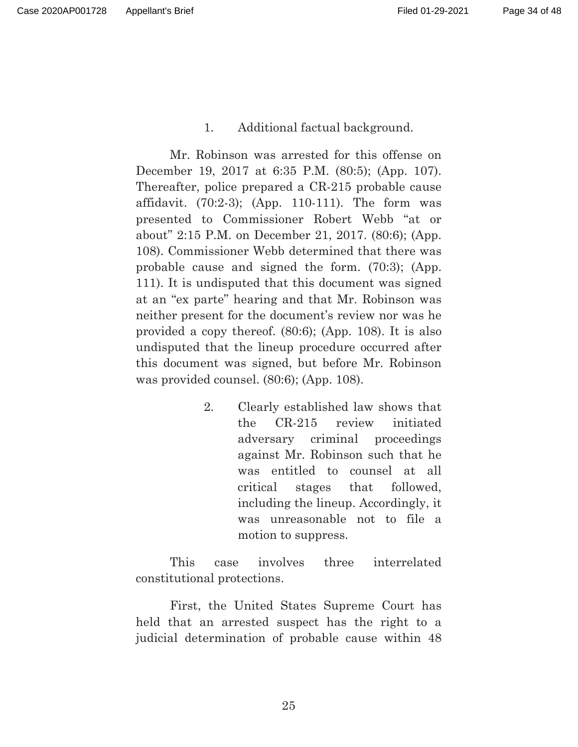## 1. Additional factual background.

Mr. Robinson was arrested for this offense on December 19, 2017 at 6:35 P.M. (80:5); (App. 107). Thereafter, police prepared a CR-215 probable cause affidavit. (70:2-3); (App. 110-111). The form was presented to Commissioner Robert Webb "at or about" 2:15 P.M. on December 21, 2017. (80:6); (App. 108). Commissioner Webb determined that there was probable cause and signed the form. (70:3); (App. 111). It is undisputed that this document was signed at an "ex parte" hearing and that Mr. Robinson was neither present for the document's review nor was he provided a copy thereof. (80:6); (App. 108). It is also undisputed that the lineup procedure occurred after this document was signed, but before Mr. Robinson was provided counsel. (80:6); (App. 108).

> 2. Clearly established law shows that the CR-215 review initiated adversary criminal proceedings against Mr. Robinson such that he was entitled to counsel at all critical stages that followed, including the lineup. Accordingly, it was unreasonable not to file a motion to suppress.

This case involves three interrelated constitutional protections.

First, the United States Supreme Court has held that an arrested suspect has the right to a judicial determination of probable cause within 48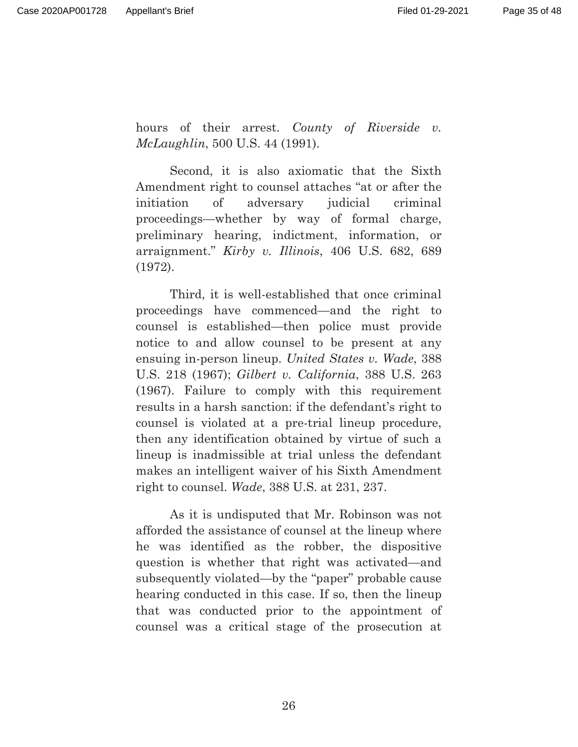hours of their arrest. *County of Riverside v. McLaughlin*, 500 U.S. 44 (1991).

Second, it is also axiomatic that the Sixth Amendment right to counsel attaches "at or after the initiation of adversary judicial criminal proceedings—whether by way of formal charge, preliminary hearing, indictment, information, or arraignment." *Kirby v. Illinois*, 406 U.S. 682, 689 (1972).

Third, it is well-established that once criminal proceedings have commenced—and the right to counsel is established—then police must provide notice to and allow counsel to be present at any ensuing in-person lineup. *United States v. Wade*, 388 U.S. 218 (1967); *Gilbert v. California*, 388 U.S. 263 (1967). Failure to comply with this requirement results in a harsh sanction: if the defendant's right to counsel is violated at a pre-trial lineup procedure, then any identification obtained by virtue of such a lineup is inadmissible at trial unless the defendant makes an intelligent waiver of his Sixth Amendment right to counsel. *Wade*, 388 U.S. at 231, 237.

As it is undisputed that Mr. Robinson was not afforded the assistance of counsel at the lineup where he was identified as the robber, the dispositive question is whether that right was activated—and subsequently violated—by the "paper" probable cause hearing conducted in this case. If so, then the lineup that was conducted prior to the appointment of counsel was a critical stage of the prosecution at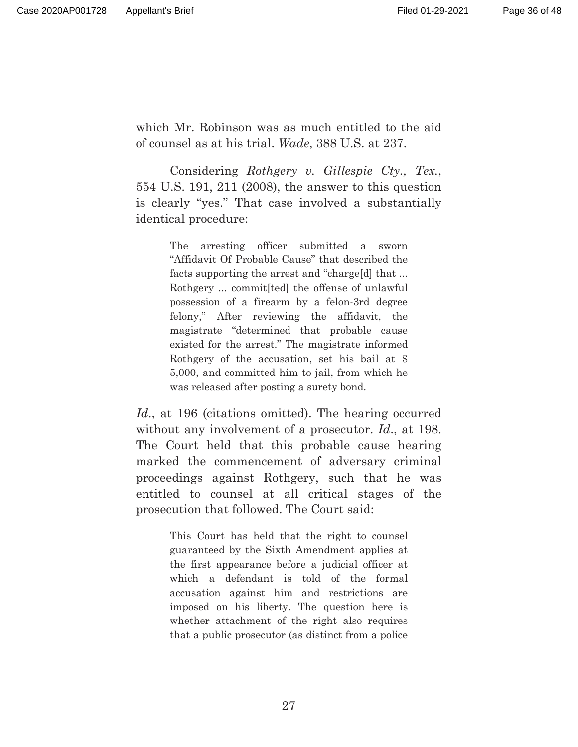which Mr. Robinson was as much entitled to the aid of counsel as at his trial. *Wade*, 388 U.S. at 237.

Considering *Rothgery v. Gillespie Cty., Tex.*, 554 U.S. 191, 211 (2008), the answer to this question is clearly "yes." That case involved a substantially identical procedure:

> The arresting officer submitted a sworn "Affidavit Of Probable Cause" that described the facts supporting the arrest and "charge[d] that ... Rothgery ... commit[ted] the offense of unlawful possession of a firearm by a felon-3rd degree felony," After reviewing the affidavit, the magistrate "determined that probable cause existed for the arrest." The magistrate informed Rothgery of the accusation, set his bail at \$ 5,000, and committed him to jail, from which he was released after posting a surety bond.

*Id*., at 196 (citations omitted). The hearing occurred without any involvement of a prosecutor. *Id*., at 198. The Court held that this probable cause hearing marked the commencement of adversary criminal proceedings against Rothgery, such that he was entitled to counsel at all critical stages of the prosecution that followed. The Court said:

> This Court has held that the right to counsel guaranteed by the Sixth Amendment applies at the first appearance before a judicial officer at which a defendant is told of the formal accusation against him and restrictions are imposed on his liberty. The question here is whether attachment of the right also requires that a public prosecutor (as distinct from a police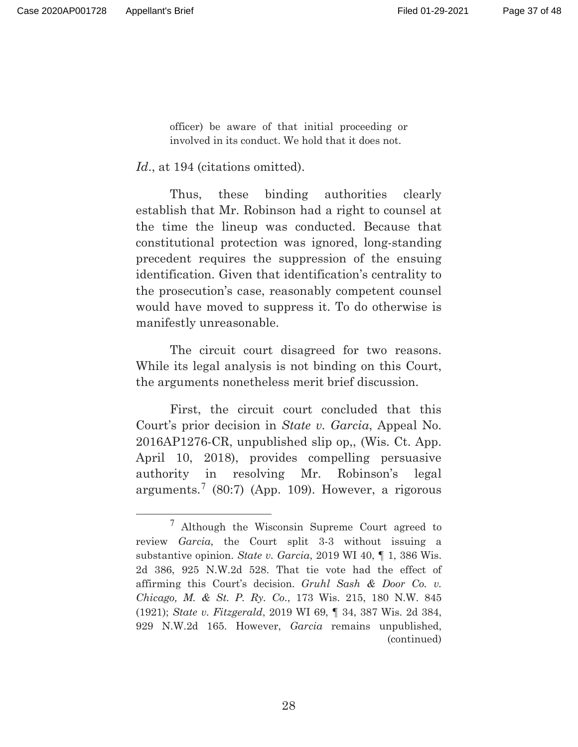officer) be aware of that initial proceeding or involved in its conduct. We hold that it does not.

Id., at 194 (citations omitted).

 Thus, these binding authorities clearly establish that Mr. Robinson had a right to counsel at the time the lineup was conducted. Because that constitutional protection was ignored, long-standing precedent requires the suppression of the ensuing identification. Given that identification's centrality to the prosecution's case, reasonably competent counsel would have moved to suppress it. To do otherwise is manifestly unreasonable.

 The circuit court disagreed for two reasons. While its legal analysis is not binding on this Court, the arguments nonetheless merit brief discussion.

 First, the circuit court concluded that this Court's prior decision in *State v. Garcia*, Appeal No. 2016AP1276-CR, unpublished slip op,, (Wis. Ct. App. April 10, 2018), provides compelling persuasive authority in resolving Mr. Robinson's legal arguments.<sup>7</sup> (80:7) (App. 109). However, a rigorous

<sup>7</sup> Although the Wisconsin Supreme Court agreed to review *Garcia*, the Court split 3-3 without issuing a substantive opinion. *State v. Garcia*, 2019 WI 40, ¶ 1, 386 Wis. 2d 386, 925 N.W.2d 528. That tie vote had the effect of affirming this Court's decision. *Gruhl Sash & Door Co. v. Chicago, M. & St. P. Ry. Co*., 173 Wis. 215, 180 N.W. 845 (1921); *State v. Fitzgerald*, 2019 WI 69, ¶ 34, 387 Wis. 2d 384, 929 N.W.2d 165. However, *Garcia* remains unpublished, (continued)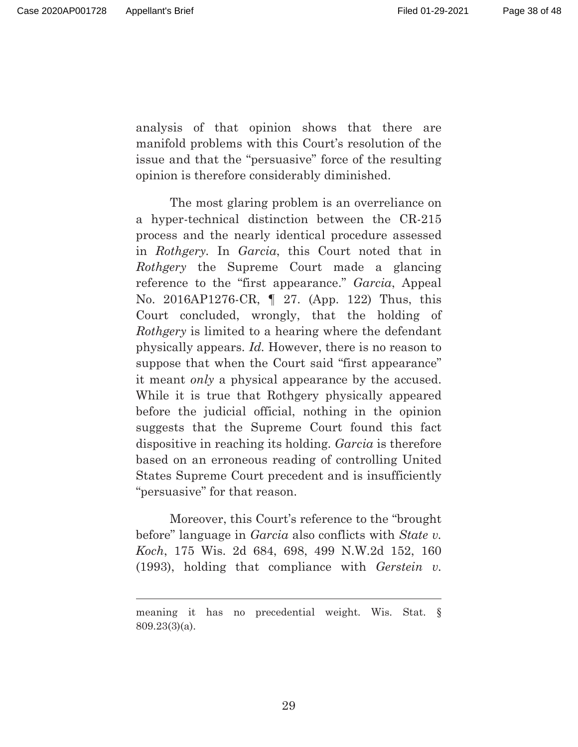$\overline{a}$ 

analysis of that opinion shows that there are manifold problems with this Court's resolution of the issue and that the "persuasive" force of the resulting opinion is therefore considerably diminished.

The most glaring problem is an overreliance on a hyper-technical distinction between the CR-215 process and the nearly identical procedure assessed in *Rothgery.* In *Garcia*, this Court noted that in *Rothgery* the Supreme Court made a glancing reference to the "first appearance." *Garcia*, Appeal No. 2016AP1276-CR, ¶ 27. (App. 122) Thus, this Court concluded, wrongly, that the holding of *Rothgery* is limited to a hearing where the defendant physically appears. *Id.* However, there is no reason to suppose that when the Court said "first appearance" it meant *only* a physical appearance by the accused. While it is true that Rothgery physically appeared before the judicial official, nothing in the opinion suggests that the Supreme Court found this fact dispositive in reaching its holding. *Garcia* is therefore based on an erroneous reading of controlling United States Supreme Court precedent and is insufficiently "persuasive" for that reason.

Moreover, this Court's reference to the "brought before" language in *Garcia* also conflicts with *State v. Koch*, 175 Wis. 2d 684, 698, 499 N.W.2d 152, 160 (1993), holding that compliance with *Gerstein v.* 

meaning it has no precedential weight. Wis. Stat. § 809.23(3)(a).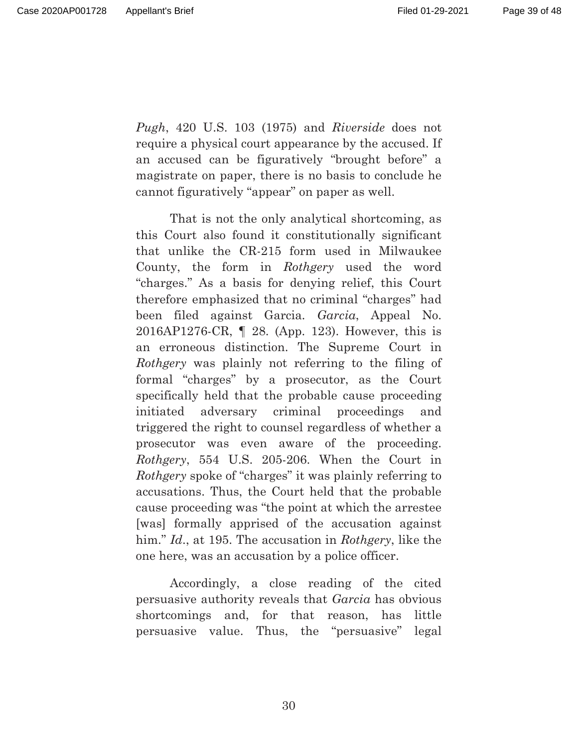Page 39 of 48

*Pugh*, 420 U.S. 103 (1975) and *Riverside* does not require a physical court appearance by the accused. If an accused can be figuratively "brought before" a magistrate on paper, there is no basis to conclude he cannot figuratively "appear" on paper as well.

That is not the only analytical shortcoming, as this Court also found it constitutionally significant that unlike the CR-215 form used in Milwaukee County, the form in *Rothgery* used the word "charges." As a basis for denying relief, this Court therefore emphasized that no criminal "charges" had been filed against Garcia*. Garcia*, Appeal No. 2016AP1276-CR, ¶ 28. (App. 123). However, this is an erroneous distinction. The Supreme Court in *Rothgery* was plainly not referring to the filing of formal "charges" by a prosecutor, as the Court specifically held that the probable cause proceeding initiated adversary criminal proceedings and triggered the right to counsel regardless of whether a prosecutor was even aware of the proceeding. *Rothgery*, 554 U.S. 205-206. When the Court in *Rothgery* spoke of "charges" it was plainly referring to accusations. Thus, the Court held that the probable cause proceeding was "the point at which the arrestee [was] formally apprised of the accusation against him." *Id*., at 195. The accusation in *Rothgery*, like the one here, was an accusation by a police officer.

Accordingly, a close reading of the cited persuasive authority reveals that *Garcia* has obvious shortcomings and, for that reason, has little persuasive value. Thus, the "persuasive" legal

30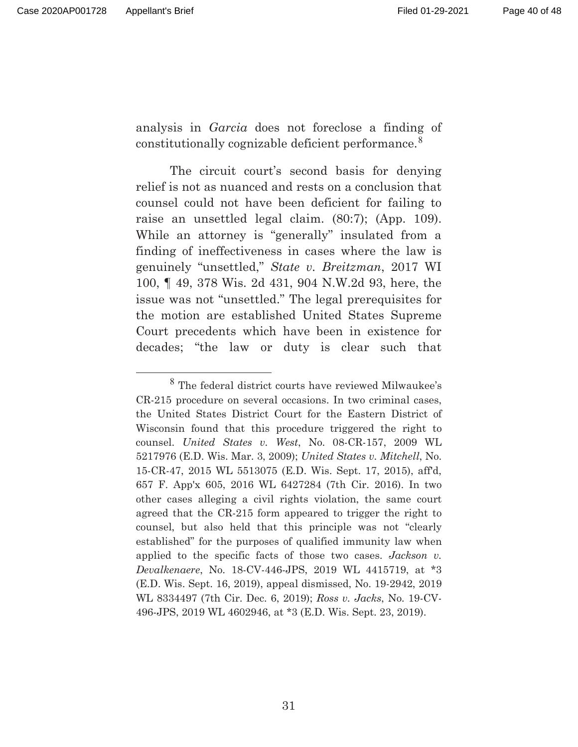analysis in *Garcia* does not foreclose a finding of constitutionally cognizable deficient performance.<sup>8</sup>

The circuit court's second basis for denying relief is not as nuanced and rests on a conclusion that counsel could not have been deficient for failing to raise an unsettled legal claim. (80:7); (App. 109). While an attorney is "generally" insulated from a finding of ineffectiveness in cases where the law is genuinely "unsettled," *State v. Breitzman*, 2017 WI 100, ¶ 49, 378 Wis. 2d 431, 904 N.W.2d 93, here, the issue was not "unsettled." The legal prerequisites for the motion are established United States Supreme Court precedents which have been in existence for decades; "the law or duty is clear such that

<sup>8</sup> The federal district courts have reviewed Milwaukee's CR-215 procedure on several occasions. In two criminal cases, the United States District Court for the Eastern District of Wisconsin found that this procedure triggered the right to counsel. *United States v. West*, No. 08-CR-157, 2009 WL 5217976 (E.D. Wis. Mar. 3, 2009); *United States v. Mitchell*, No. 15-CR-47, 2015 WL 5513075 (E.D. Wis. Sept. 17, 2015), aff'd, 657 F. App'x 605, 2016 WL 6427284 (7th Cir. 2016). In two other cases alleging a civil rights violation, the same court agreed that the CR-215 form appeared to trigger the right to counsel, but also held that this principle was not "clearly established" for the purposes of qualified immunity law when applied to the specific facts of those two cases. *Jackson v. Devalkenaere*, No. 18-CV-446-JPS, 2019 WL 4415719, at \*3 (E.D. Wis. Sept. 16, 2019), appeal dismissed, No. 19-2942, 2019 WL 8334497 (7th Cir. Dec. 6, 2019); *Ross v. Jacks*, No. 19-CV-496-JPS, 2019 WL 4602946, at \*3 (E.D. Wis. Sept. 23, 2019).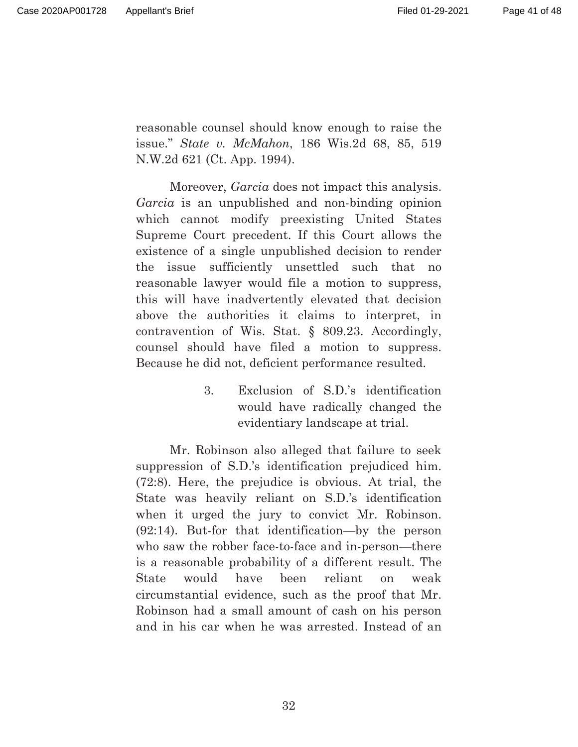reasonable counsel should know enough to raise the issue." *State v. McMahon*, 186 Wis.2d 68, 85, 519 N.W.2d 621 (Ct. App. 1994).

Moreover, *Garcia* does not impact this analysis. *Garcia* is an unpublished and non-binding opinion which cannot modify preexisting United States Supreme Court precedent. If this Court allows the existence of a single unpublished decision to render the issue sufficiently unsettled such that no reasonable lawyer would file a motion to suppress, this will have inadvertently elevated that decision above the authorities it claims to interpret, in contravention of Wis. Stat. § 809.23. Accordingly, counsel should have filed a motion to suppress. Because he did not, deficient performance resulted.

> 3. Exclusion of S.D.'s identification would have radically changed the evidentiary landscape at trial.

Mr. Robinson also alleged that failure to seek suppression of S.D.'s identification prejudiced him. (72:8). Here, the prejudice is obvious. At trial, the State was heavily reliant on S.D.'s identification when it urged the jury to convict Mr. Robinson. (92:14). But-for that identification—by the person who saw the robber face-to-face and in-person—there is a reasonable probability of a different result. The State would have been reliant on weak circumstantial evidence, such as the proof that Mr. Robinson had a small amount of cash on his person and in his car when he was arrested. Instead of an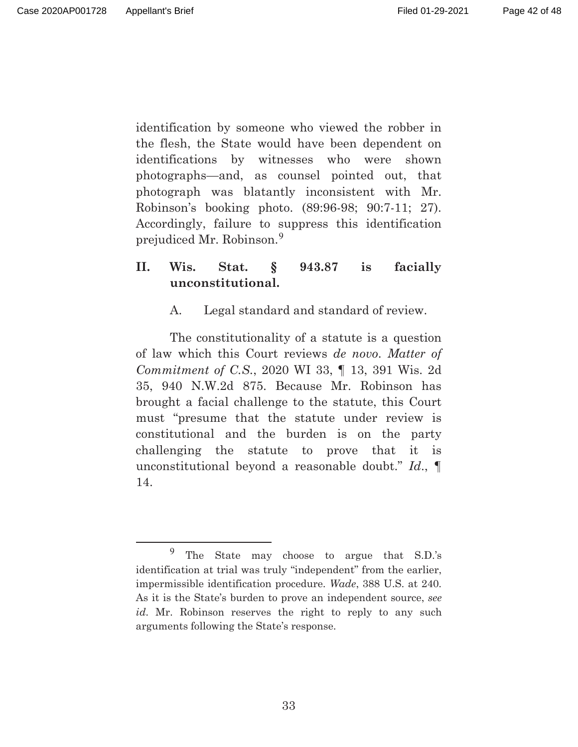Page 42 of 48

identification by someone who viewed the robber in the flesh, the State would have been dependent on identifications by witnesses who were shown photographs—and, as counsel pointed out, that photograph was blatantly inconsistent with Mr. Robinson's booking photo. (89:96-98; 90:7-11; 27). Accordingly, failure to suppress this identification prejudiced Mr. Robinson.<sup>9</sup>

# **II. Wis. Stat. § 943.87 is facially unconstitutional.**

A. Legal standard and standard of review.

The constitutionality of a statute is a question of law which this Court reviews *de novo*. *Matter of Commitment of C.S.*, 2020 WI 33, ¶ 13, 391 Wis. 2d 35, 940 N.W.2d 875. Because Mr. Robinson has brought a facial challenge to the statute, this Court must "presume that the statute under review is constitutional and the burden is on the party challenging the statute to prove that it is unconstitutional beyond a reasonable doubt." *Id*., ¶ 14.

<sup>9</sup> The State may choose to argue that S.D.'s identification at trial was truly "independent" from the earlier, impermissible identification procedure. *Wade*, 388 U.S. at 240. As it is the State's burden to prove an independent source, *see id*. Mr. Robinson reserves the right to reply to any such arguments following the State's response.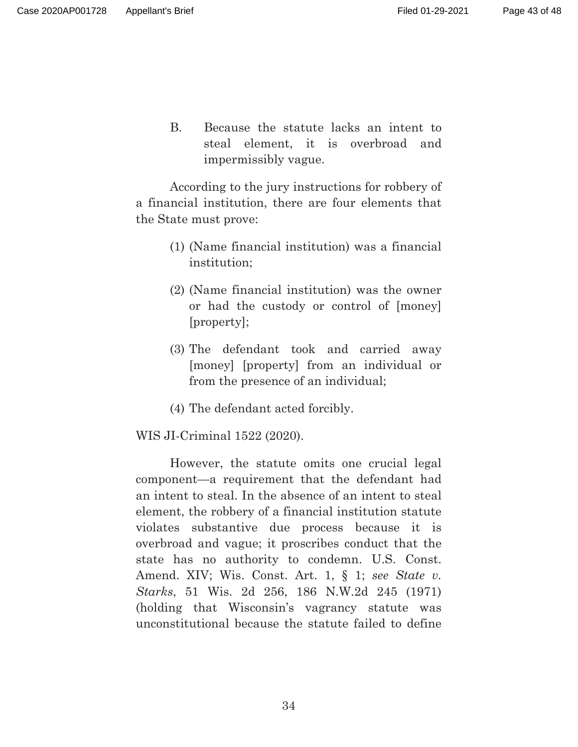B. Because the statute lacks an intent to steal element, it is overbroad and impermissibly vague.

According to the jury instructions for robbery of a financial institution, there are four elements that the State must prove:

- (1) (Name financial institution) was a financial institution;
- (2) (Name financial institution) was the owner or had the custody or control of [money] [property];
- (3) The defendant took and carried away [money] [property] from an individual or from the presence of an individual;
- (4) The defendant acted forcibly.

WIS JI-Criminal 1522 (2020).

However, the statute omits one crucial legal component—a requirement that the defendant had an intent to steal. In the absence of an intent to steal element, the robbery of a financial institution statute violates substantive due process because it is overbroad and vague; it proscribes conduct that the state has no authority to condemn. U.S. Const. Amend. XIV; Wis. Const. Art. 1, § 1; *see State v. Starks*, 51 Wis. 2d 256, 186 N.W.2d 245 (1971) (holding that Wisconsin's vagrancy statute was unconstitutional because the statute failed to define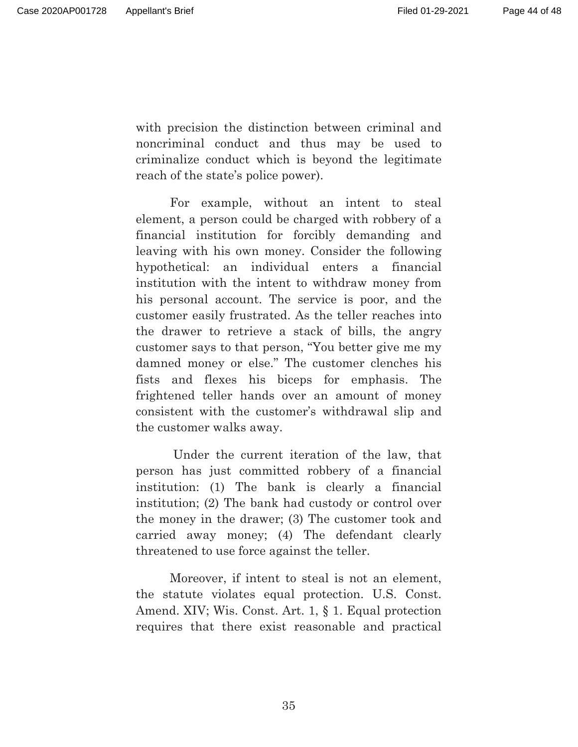with precision the distinction between criminal and noncriminal conduct and thus may be used to criminalize conduct which is beyond the legitimate reach of the state's police power).

For example, without an intent to steal element, a person could be charged with robbery of a financial institution for forcibly demanding and leaving with his own money. Consider the following hypothetical: an individual enters a financial institution with the intent to withdraw money from his personal account. The service is poor, and the customer easily frustrated. As the teller reaches into the drawer to retrieve a stack of bills, the angry customer says to that person, "You better give me my damned money or else." The customer clenches his fists and flexes his biceps for emphasis. The frightened teller hands over an amount of money consistent with the customer's withdrawal slip and the customer walks away.

 Under the current iteration of the law, that person has just committed robbery of a financial institution: (1) The bank is clearly a financial institution; (2) The bank had custody or control over the money in the drawer; (3) The customer took and carried away money; (4) The defendant clearly threatened to use force against the teller.

Moreover, if intent to steal is not an element, the statute violates equal protection. U.S. Const. Amend. XIV; Wis. Const. Art. 1, § 1. Equal protection requires that there exist reasonable and practical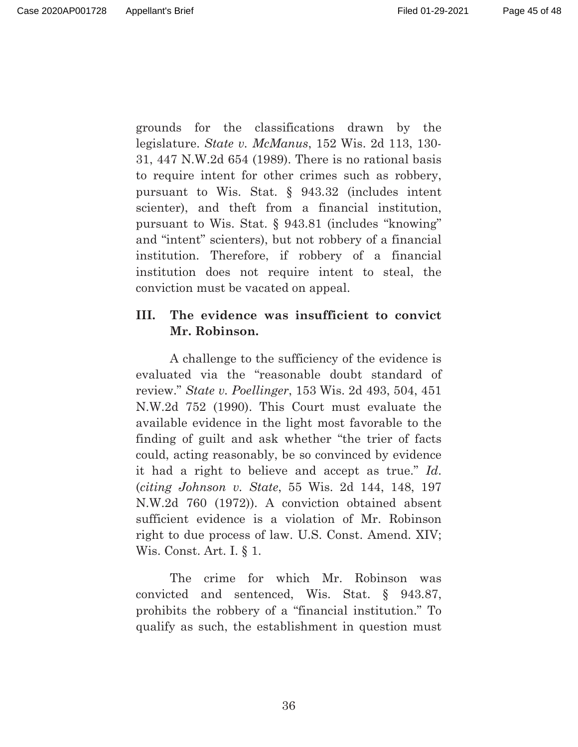Page 45 of 48

grounds for the classifications drawn by the legislature. *State v. McManus*, 152 Wis. 2d 113, 130- 31, 447 N.W.2d 654 (1989). There is no rational basis to require intent for other crimes such as robbery, pursuant to Wis. Stat. § 943.32 (includes intent scienter), and theft from a financial institution, pursuant to Wis. Stat. § 943.81 (includes "knowing" and "intent" scienters), but not robbery of a financial institution. Therefore, if robbery of a financial institution does not require intent to steal, the conviction must be vacated on appeal.

## **III. The evidence was insufficient to convict Mr. Robinson.**

A challenge to the sufficiency of the evidence is evaluated via the "reasonable doubt standard of review." *State v. Poellinger*, 153 Wis. 2d 493, 504, 451 N.W.2d 752 (1990). This Court must evaluate the available evidence in the light most favorable to the finding of guilt and ask whether "the trier of facts could, acting reasonably, be so convinced by evidence it had a right to believe and accept as true." *Id*. (*citing Johnson v. State*, 55 Wis. 2d 144, 148, 197 N.W.2d 760 (1972)). A conviction obtained absent sufficient evidence is a violation of Mr. Robinson right to due process of law. U.S. Const. Amend. XIV; Wis. Const. Art. I. § 1.

The crime for which Mr. Robinson was convicted and sentenced, Wis. Stat. § 943.87, prohibits the robbery of a "financial institution." To qualify as such, the establishment in question must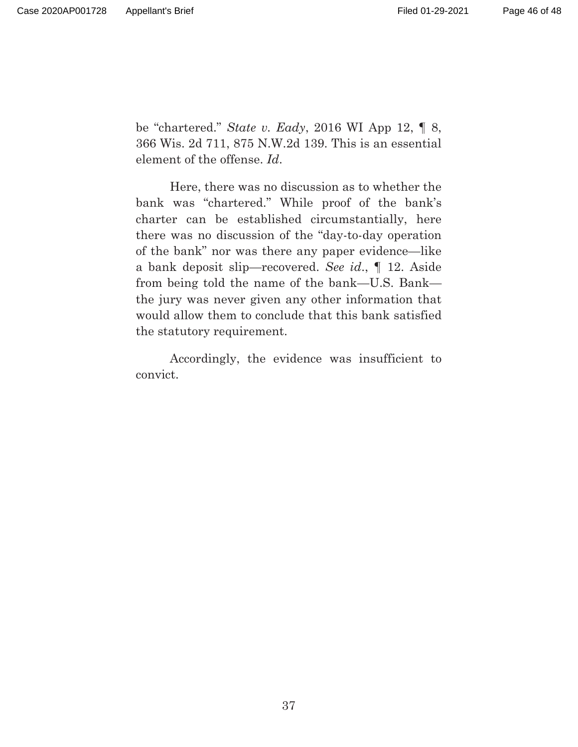be "chartered." *State v. Eady*, 2016 WI App 12, ¶ 8, 366 Wis. 2d 711, 875 N.W.2d 139. This is an essential element of the offense. *Id*.

Here, there was no discussion as to whether the bank was "chartered." While proof of the bank's charter can be established circumstantially, here there was no discussion of the "day-to-day operation of the bank" nor was there any paper evidence—like a bank deposit slip—recovered. *See id*., ¶ 12. Aside from being told the name of the bank—U.S. Bank the jury was never given any other information that would allow them to conclude that this bank satisfied the statutory requirement.

Accordingly, the evidence was insufficient to convict.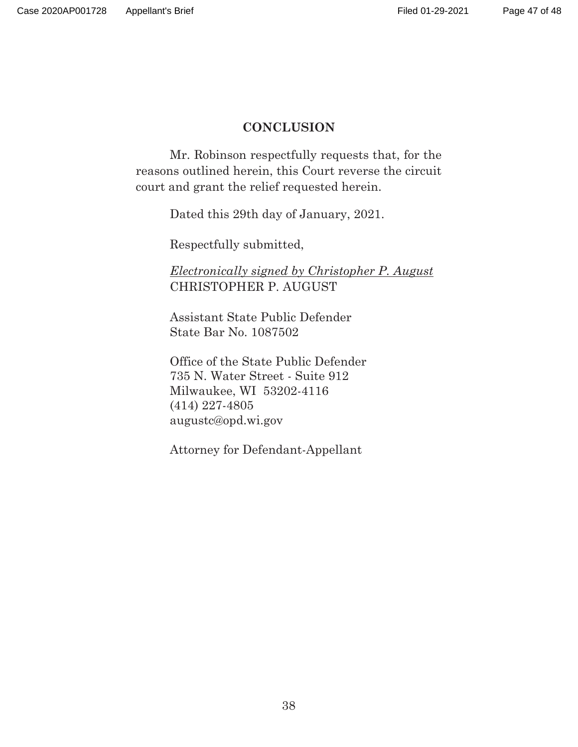## **CONCLUSION**

Mr. Robinson respectfully requests that, for the reasons outlined herein, this Court reverse the circuit court and grant the relief requested herein.

Dated this 29th day of January, 2021.

Respectfully submitted,

*Electronically signed by Christopher P. August*  CHRISTOPHER P. AUGUST

Assistant State Public Defender State Bar No. 1087502

Office of the State Public Defender 735 N. Water Street - Suite 912 Milwaukee, WI 53202-4116 (414) 227-4805 augustc@opd.wi.gov

Attorney for Defendant-Appellant